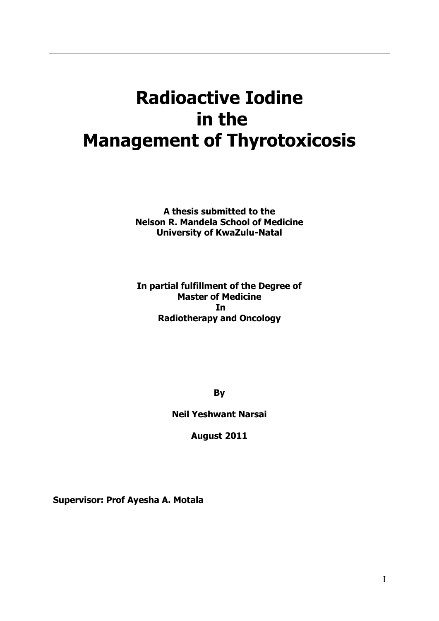# **Radioactive Iodine in the Management of Thyrotoxicosis**

**A thesis submitted to the Nelson R. Mandela School of Medicine University of KwaZulu-Natal**

**In partial fulfillment of the Degree of Master of Medicine In Radiotherapy and Oncology**

**By**

**Neil Yeshwant Narsai**

**August 2011**

**Supervisor: Prof Ayesha A. Motala**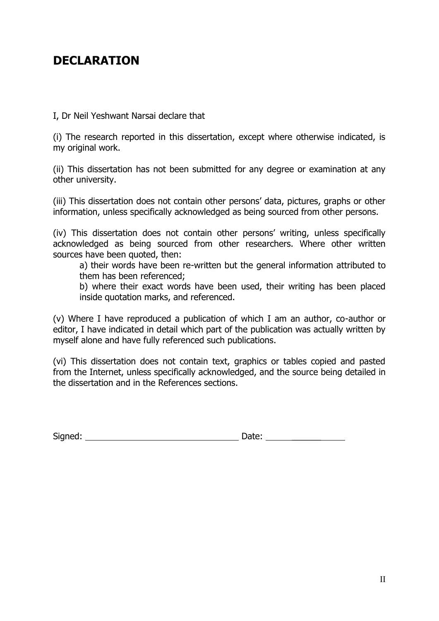## **DECLARATION**

I, Dr Neil Yeshwant Narsai declare that

(i) The research reported in this dissertation, except where otherwise indicated, is my original work.

(ii) This dissertation has not been submitted for any degree or examination at any other university.

(iii) This dissertation does not contain other persons' data, pictures, graphs or other information, unless specifically acknowledged as being sourced from other persons.

(iv) This dissertation does not contain other persons' writing, unless specifically acknowledged as being sourced from other researchers. Where other written sources have been quoted, then:

a) their words have been re-written but the general information attributed to them has been referenced;

b) where their exact words have been used, their writing has been placed inside quotation marks, and referenced.

(v) Where I have reproduced a publication of which I am an author, co-author or editor, I have indicated in detail which part of the publication was actually written by myself alone and have fully referenced such publications.

(vi) This dissertation does not contain text, graphics or tables copied and pasted from the Internet, unless specifically acknowledged, and the source being detailed in the dissertation and in the References sections.

| Signed: | . |
|---------|---|
|         |   |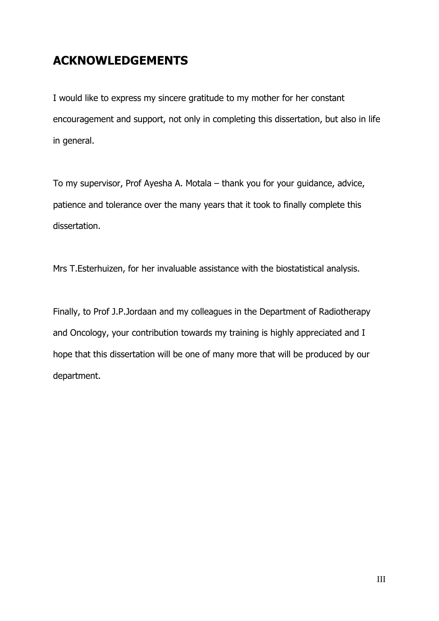## **ACKNOWLEDGEMENTS**

I would like to express my sincere gratitude to my mother for her constant encouragement and support, not only in completing this dissertation, but also in life in general.

To my supervisor, Prof Ayesha A. Motala – thank you for your guidance, advice, patience and tolerance over the many years that it took to finally complete this dissertation.

Mrs T.Esterhuizen, for her invaluable assistance with the biostatistical analysis.

Finally, to Prof J.P.Jordaan and my colleagues in the Department of Radiotherapy and Oncology, your contribution towards my training is highly appreciated and I hope that this dissertation will be one of many more that will be produced by our department.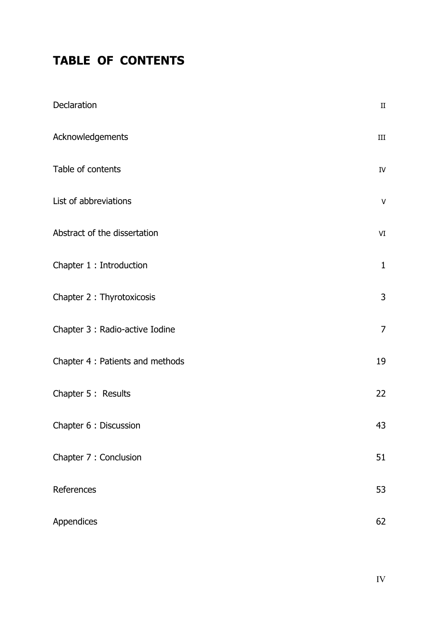## **TABLE OF CONTENTS**

| Declaration                      | $\rm II$       |  |
|----------------------------------|----------------|--|
| Acknowledgements                 | $\rm III$      |  |
| Table of contents                | ${\rm IV}$     |  |
| List of abbreviations            | V              |  |
| Abstract of the dissertation     | VI             |  |
| Chapter 1 : Introduction         | $\mathbf{1}$   |  |
| Chapter 2 : Thyrotoxicosis       | 3              |  |
| Chapter 3 : Radio-active Iodine  | $\overline{7}$ |  |
| Chapter 4 : Patients and methods | 19             |  |
| Chapter 5 : Results              | 22             |  |
| Chapter 6 : Discussion           | 43             |  |
| Chapter 7 : Conclusion           | 51             |  |
| References                       | 53             |  |
| Appendices                       | 62             |  |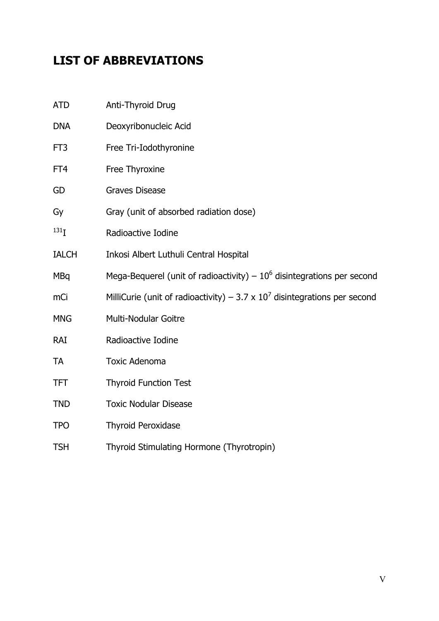## **LIST OF ABBREVIATIONS**

| <b>ATD</b>       | Anti-Thyroid Drug                                                            |
|------------------|------------------------------------------------------------------------------|
| <b>DNA</b>       | Deoxyribonucleic Acid                                                        |
| FT3              | Free Tri-Iodothyronine                                                       |
| FT4              | Free Thyroxine                                                               |
| GD               | <b>Graves Disease</b>                                                        |
| Gy               | Gray (unit of absorbed radiation dose)                                       |
| 131 <sub>T</sub> | Radioactive Iodine                                                           |
| <b>IALCH</b>     | Inkosi Albert Luthuli Central Hospital                                       |
| <b>MBq</b>       | Mega-Bequerel (unit of radioactivity) $-10^6$ disintegrations per second     |
| mCi              | MilliCurie (unit of radioactivity) – 3.7 x $10^7$ disintegrations per second |
| <b>MNG</b>       | Multi-Nodular Goitre                                                         |
| RAI              | Radioactive Iodine                                                           |
| <b>TA</b>        | <b>Toxic Adenoma</b>                                                         |
| <b>TFT</b>       | <b>Thyroid Function Test</b>                                                 |
| <b>TND</b>       | <b>Toxic Nodular Disease</b>                                                 |
| <b>TPO</b>       | <b>Thyroid Peroxidase</b>                                                    |
| <b>TSH</b>       | Thyroid Stimulating Hormone (Thyrotropin)                                    |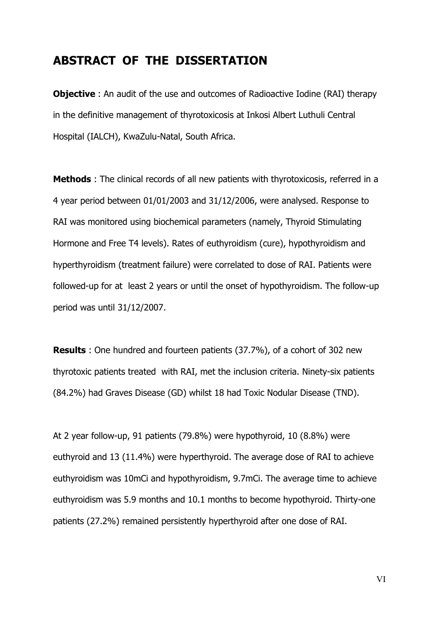### **ABSTRACT OF THE DISSERTATION**

**Objective**: An audit of the use and outcomes of Radioactive Iodine (RAI) therapy in the definitive management of thyrotoxicosis at Inkosi Albert Luthuli Central Hospital (IALCH), KwaZulu-Natal, South Africa.

**Methods** : The clinical records of all new patients with thyrotoxicosis, referred in a 4 year period between 01/01/2003 and 31/12/2006, were analysed. Response to RAI was monitored using biochemical parameters (namely, Thyroid Stimulating Hormone and Free T4 levels). Rates of euthyroidism (cure), hypothyroidism and hyperthyroidism (treatment failure) were correlated to dose of RAI. Patients were followed-up for at least 2 years or until the onset of hypothyroidism. The follow-up period was until 31/12/2007.

**Results** : One hundred and fourteen patients (37.7%), of a cohort of 302 new thyrotoxic patients treated with RAI, met the inclusion criteria. Ninety-six patients (84.2%) had Graves Disease (GD) whilst 18 had Toxic Nodular Disease (TND).

At 2 year follow-up, 91 patients (79.8%) were hypothyroid, 10 (8.8%) were euthyroid and 13 (11.4%) were hyperthyroid. The average dose of RAI to achieve euthyroidism was 10mCi and hypothyroidism, 9.7mCi. The average time to achieve euthyroidism was 5.9 months and 10.1 months to become hypothyroid. Thirty-one patients (27.2%) remained persistently hyperthyroid after one dose of RAI.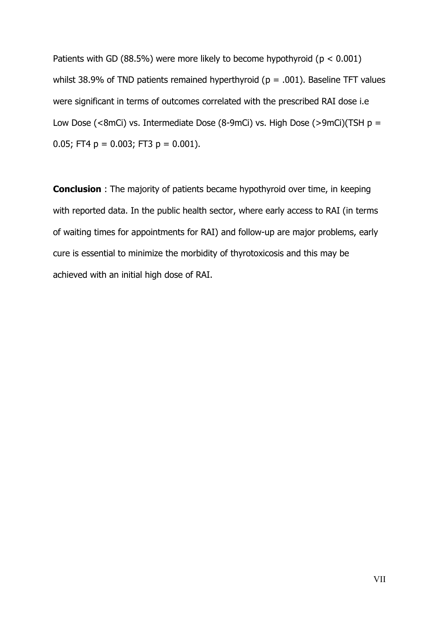Patients with GD (88.5%) were more likely to become hypothyroid ( $p < 0.001$ ) whilst 38.9% of TND patients remained hyperthyroid ( $p = .001$ ). Baseline TFT values were significant in terms of outcomes correlated with the prescribed RAI dose i.e Low Dose (<8mCi) vs. Intermediate Dose (8-9mCi) vs. High Dose (>9mCi)(TSH  $p =$ 0.05; FT4  $p = 0.003$ ; FT3  $p = 0.001$ ).

**Conclusion** : The majority of patients became hypothyroid over time, in keeping with reported data. In the public health sector, where early access to RAI (in terms of waiting times for appointments for RAI) and follow-up are major problems, early cure is essential to minimize the morbidity of thyrotoxicosis and this may be achieved with an initial high dose of RAI.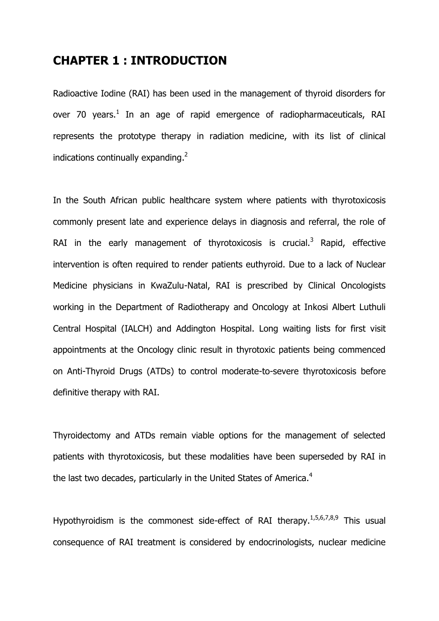### **CHAPTER 1 : INTRODUCTION**

Radioactive Iodine (RAI) has been used in the management of thyroid disorders for over 70 years.<sup>1</sup> In an age of rapid emergence of radiopharmaceuticals, RAI represents the prototype therapy in radiation medicine, with its list of clinical indications continually expanding. $2$ 

In the South African public healthcare system where patients with thyrotoxicosis commonly present late and experience delays in diagnosis and referral, the role of RAI in the early management of thyrotoxicosis is crucial.<sup>3</sup> Rapid, effective intervention is often required to render patients euthyroid. Due to a lack of Nuclear Medicine physicians in KwaZulu-Natal, RAI is prescribed by Clinical Oncologists working in the Department of Radiotherapy and Oncology at Inkosi Albert Luthuli Central Hospital (IALCH) and Addington Hospital. Long waiting lists for first visit appointments at the Oncology clinic result in thyrotoxic patients being commenced on Anti-Thyroid Drugs (ATDs) to control moderate-to-severe thyrotoxicosis before definitive therapy with RAI.

Thyroidectomy and ATDs remain viable options for the management of selected patients with thyrotoxicosis, but these modalities have been superseded by RAI in the last two decades, particularly in the United States of America.<sup>4</sup>

Hypothyroidism is the commonest side-effect of RAI therapy.  $1,5,6,7,8,9$  This usual consequence of RAI treatment is considered by endocrinologists, nuclear medicine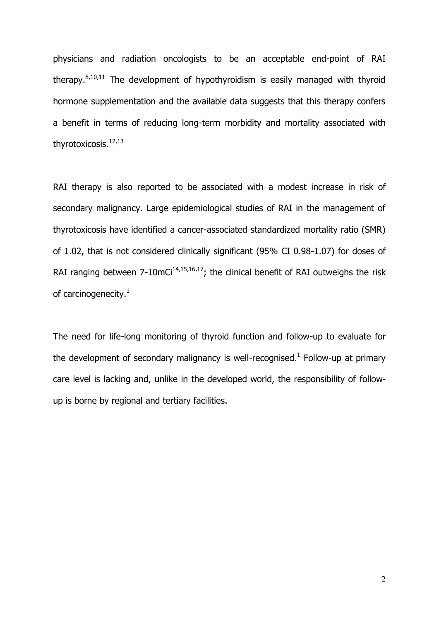physicians and radiation oncologists to be an acceptable end-point of RAI therapy. $8,10,11$  The development of hypothyroidism is easily managed with thyroid hormone supplementation and the available data suggests that this therapy confers a benefit in terms of reducing long-term morbidity and mortality associated with thyrotoxicosis.<sup>12,13</sup>

RAI therapy is also reported to be associated with a modest increase in risk of secondary malignancy. Large epidemiological studies of RAI in the management of thyrotoxicosis have identified a cancer-associated standardized mortality ratio (SMR) of 1.02, that is not considered clinically significant (95% CI 0.98-1.07) for doses of RAI ranging between  $7\n-10$ mCi<sup>14,15,16,17</sup>; the clinical benefit of RAI outweighs the risk of carcinogenecity.<sup>1</sup>

The need for life-long monitoring of thyroid function and follow-up to evaluate for the development of secondary malignancy is well-recognised.<sup>1</sup> Follow-up at primary care level is lacking and, unlike in the developed world, the responsibility of follow up is borne by regional and tertiary facilities.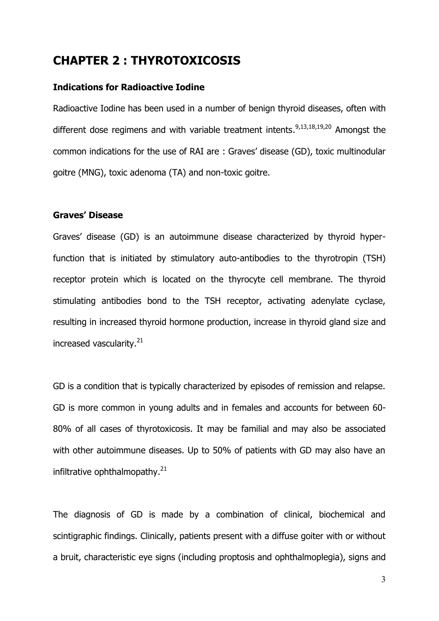## **CHAPTER 2 : THYROTOXICOSIS**

#### **Indications for Radioactive Iodine**

Radioactive Iodine has been used in a number of benign thyroid diseases, often with different dose regimens and with variable treatment intents.<sup>9,13,18,19,20</sup> Amongst the common indications for the use of RAI are : Graves' disease (GD), toxic multinodular goitre (MNG), toxic adenoma (TA) and non-toxic goitre.

#### **Graves' Disease**

Graves' disease (GD) is an autoimmune disease characterized by thyroid hyperfunction that is initiated by stimulatory auto-antibodies to the thyrotropin (TSH) receptor protein which is located on the thyrocyte cell membrane. The thyroid stimulating antibodies bond to the TSH receptor, activating adenylate cyclase, resulting in increased thyroid hormone production, increase in thyroid gland size and increased vascularity.<sup>21</sup>

GD is a condition that is typically characterized by episodes of remission and relapse. GD is more common in young adults and in females and accounts for between 60- 80% of all cases of thyrotoxicosis. It may be familial and may also be associated with other autoimmune diseases. Up to 50% of patients with GD may also have an infiltrative ophthalmopathy. $^{21}$ 

The diagnosis of GD is made by a combination of clinical, biochemical and scintigraphic findings. Clinically, patients present with a diffuse goiter with or without a bruit, characteristic eye signs (including proptosis and ophthalmoplegia), signs and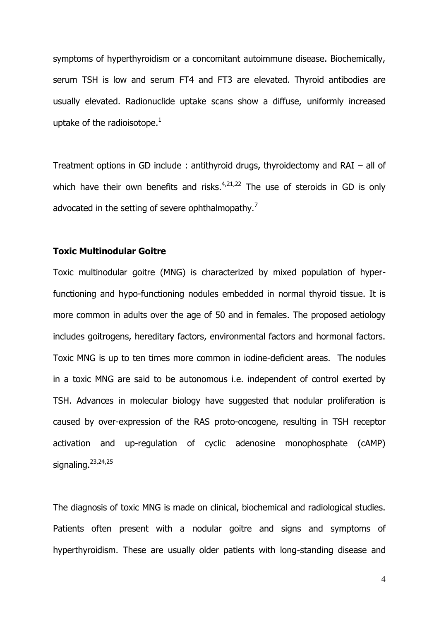symptoms of hyperthyroidism or a concomitant autoimmune disease. Biochemically, serum TSH is low and serum FT4 and FT3 are elevated. Thyroid antibodies are usually elevated. Radionuclide uptake scans show a diffuse, uniformly increased uptake of the radioisotope. $1$ 

Treatment options in GD include : antithyroid drugs, thyroidectomy and RAI – all of which have their own benefits and risks. $4,21,22$  The use of steroids in GD is only advocated in the setting of severe ophthalmopathy.<sup>7</sup>

#### **Toxic Multinodular Goitre**

Toxic multinodular goitre (MNG) is characterized by mixed population of hyperfunctioning and hypo-functioning nodules embedded in normal thyroid tissue. It is more common in adults over the age of 50 and in females. The proposed aetiology includes goitrogens, hereditary factors, environmental factors and hormonal factors. Toxic MNG is up to ten times more common in iodine-deficient areas. The nodules in a toxic MNG are said to be autonomous i.e. independent of control exerted by TSH. Advances in molecular biology have suggested that nodular proliferation is caused by over-expression of the RAS proto-oncogene, resulting in TSH receptor activation and up-regulation of cyclic adenosine monophosphate (cAMP) signaling. $23,24,25$ 

The diagnosis of toxic MNG is made on clinical, biochemical and radiological studies. Patients often present with a nodular goitre and signs and symptoms of hyperthyroidism. These are usually older patients with long-standing disease and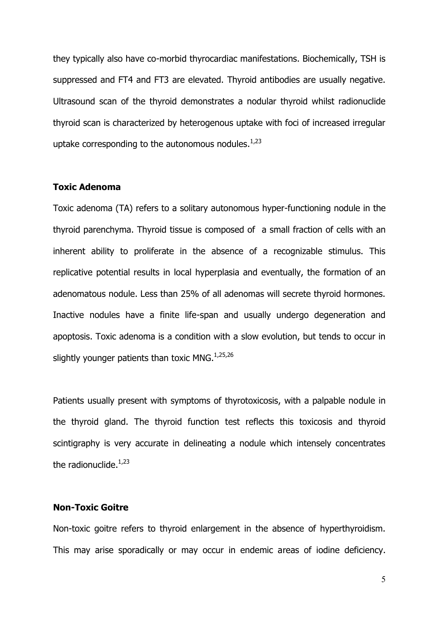they typically also have co-morbid thyrocardiac manifestations. Biochemically, TSH is suppressed and FT4 and FT3 are elevated. Thyroid antibodies are usually negative. Ultrasound scan of the thyroid demonstrates a nodular thyroid whilst radionuclide thyroid scan is characterized by heterogenous uptake with foci of increased irregular uptake corresponding to the autonomous nodules. $1,23$ 

#### **Toxic Adenoma**

Toxic adenoma (TA) refers to a solitary autonomous hyper-functioning nodule in the thyroid parenchyma. Thyroid tissue is composed of a small fraction of cells with an inherent ability to proliferate in the absence of a recognizable stimulus. This replicative potential results in local hyperplasia and eventually, the formation of an adenomatous nodule. Less than 25% of all adenomas will secrete thyroid hormones. Inactive nodules have a finite life-span and usually undergo degeneration and apoptosis. Toxic adenoma is a condition with a slow evolution, but tends to occur in slightly younger patients than toxic MNG. $1,25,26$ 

Patients usually present with symptoms of thyrotoxicosis, with a palpable nodule in the thyroid gland. The thyroid function test reflects this toxicosis and thyroid scintigraphy is very accurate in delineating a nodule which intensely concentrates the radionuclide. $1,23$ 

#### **Non-Toxic Goitre**

Non-toxic goitre refers to thyroid enlargement in the absence of hyperthyroidism. This may arise sporadically or may occur in endemic areas of iodine deficiency.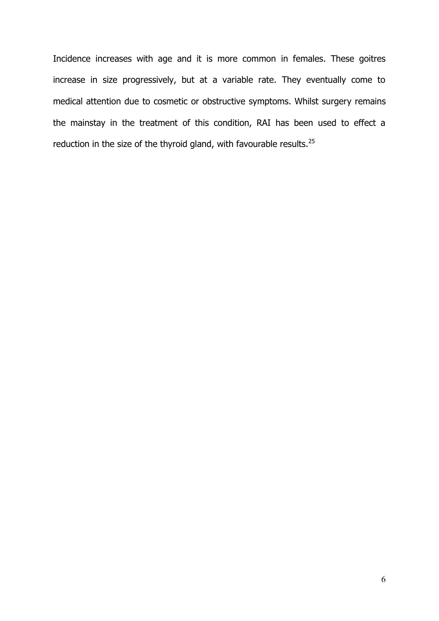Incidence increases with age and it is more common in females. These goitres increase in size progressively, but at a variable rate. They eventually come to medical attention due to cosmetic or obstructive symptoms. Whilst surgery remains the mainstay in the treatment of this condition, RAI has been used to effect a reduction in the size of the thyroid gland, with favourable results.<sup>25</sup>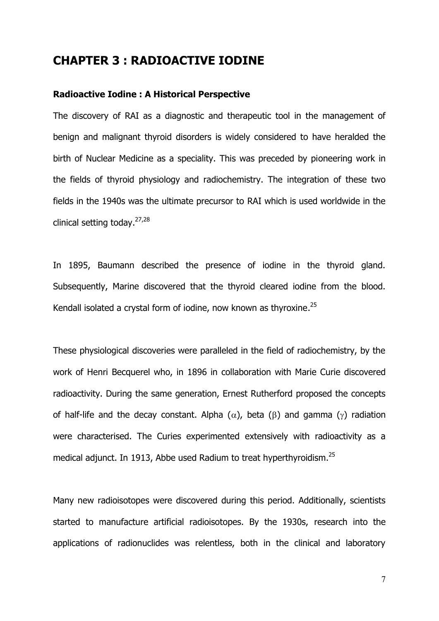### **CHAPTER 3 : RADIOACTIVE IODINE**

#### **Radioactive Iodine : A Historical Perspective**

The discovery of RAI as a diagnostic and therapeutic tool in the management of benign and malignant thyroid disorders is widely considered to have heralded the birth of Nuclear Medicine as a speciality. This was preceded by pioneering work in the fields of thyroid physiology and radiochemistry. The integration of these two fields in the 1940s was the ultimate precursor to RAI which is used worldwide in the clinical setting today.27,28

In 1895, Baumann described the presence of iodine in the thyroid gland. Subsequently, Marine discovered that the thyroid cleared iodine from the blood. Kendall isolated a crystal form of iodine, now known as thyroxine.<sup>25</sup>

These physiological discoveries were paralleled in the field of radiochemistry, by the work of Henri Becquerel who, in 1896 in collaboration with Marie Curie discovered radioactivity. During the same generation, Ernest Rutherford proposed the concepts of half-life and the decay constant. Alpha ( $\alpha$ ), beta ( $\beta$ ) and gamma ( $\gamma$ ) radiation were characterised. The Curies experimented extensively with radioactivity as a medical adjunct. In 1913, Abbe used Radium to treat hyperthyroidism.<sup>25</sup>

Many new radioisotopes were discovered during this period. Additionally, scientists started to manufacture artificial radioisotopes. By the 1930s, research into the applications of radionuclides was relentless, both in the clinical and laboratory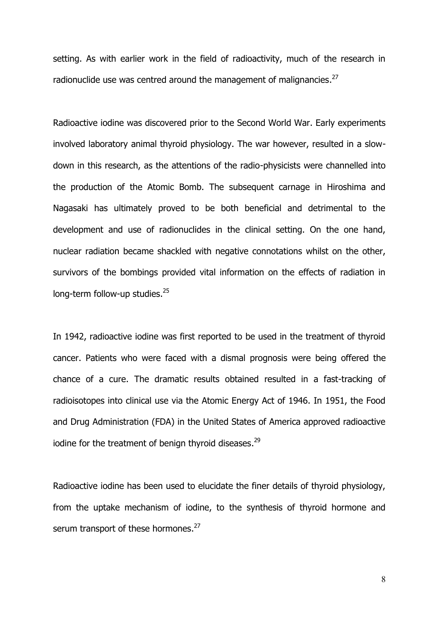setting. As with earlier work in the field of radioactivity, much of the research in radionuclide use was centred around the management of malignancies.<sup>27</sup>

Radioactive iodine was discovered prior to the Second World War. Early experiments involved laboratory animal thyroid physiology. The war however, resulted in a slow down in this research, as the attentions of the radio-physicists were channelled into the production of the Atomic Bomb. The subsequent carnage in Hiroshima and Nagasaki has ultimately proved to be both beneficial and detrimental to the development and use of radionuclides in the clinical setting. On the one hand, nuclear radiation became shackled with negative connotations whilst on the other, survivors of the bombings provided vital information on the effects of radiation in long-term follow-up studies.<sup>25</sup>

In 1942, radioactive iodine was first reported to be used in the treatment of thyroid cancer. Patients who were faced with a dismal prognosis were being offered the chance of a cure. The dramatic results obtained resulted in a fast-tracking of radioisotopes into clinical use via the Atomic Energy Act of 1946. In 1951, the Food and Drug Administration (FDA) in the United States of America approved radioactive iodine for the treatment of benign thyroid diseases. $^{29}$ 

Radioactive iodine has been used to elucidate the finer details of thyroid physiology, from the uptake mechanism of iodine, to the synthesis of thyroid hormone and serum transport of these hormones.<sup>27</sup>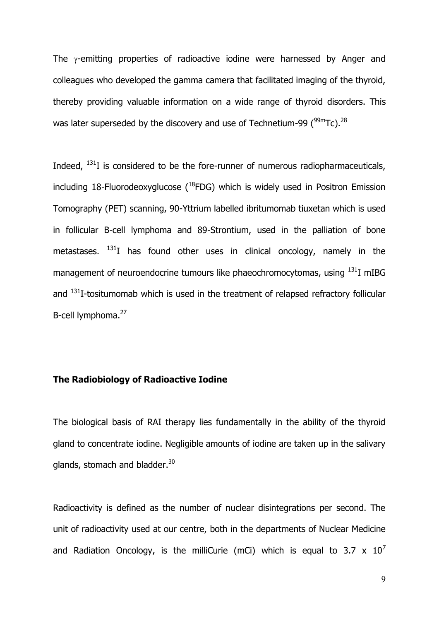The  $\gamma$ -emitting properties of radioactive iodine were harnessed by Anger and colleagues who developed the gamma camera that facilitated imaging of the thyroid, thereby providing valuable information on a wide range of thyroid disorders. This was later superseded by the discovery and use of Technetium-99  $(^{99m}$ Tc).<sup>28</sup>

Indeed,  $^{131}I$  is considered to be the fore-runner of numerous radiopharmaceuticals, including 18-Fluorodeoxyglucose  $(^{18}$ FDG) which is widely used in Positron Emission Tomography (PET) scanning, 90-Yttrium labelled ibritumomab tiuxetan which is used in follicular B-cell lymphoma and 89-Strontium, used in the palliation of bone metastases.  $^{131}I$  has found other uses in clinical oncology, namely in the management of neuroendocrine tumours like phaeochromocytomas, using  $^{131}$ I mIBG and <sup>131</sup>I-tositumomab which is used in the treatment of relapsed refractory follicular B-cell lymphoma.<sup>27</sup>

#### **The Radiobiology of Radioactive Iodine**

The biological basis of RAI therapy lies fundamentally in the ability of the thyroid gland to concentrate iodine. Negligible amounts of iodine are taken up in the salivary glands, stomach and bladder.<sup>30</sup>

Radioactivity is defined as the number of nuclear disintegrations per second. The unit of radioactivity used at our centre, both in the departments of Nuclear Medicine and Radiation Oncology, is the milliCurie (mCi) which is equal to 3.7  $\times$  10<sup>7</sup>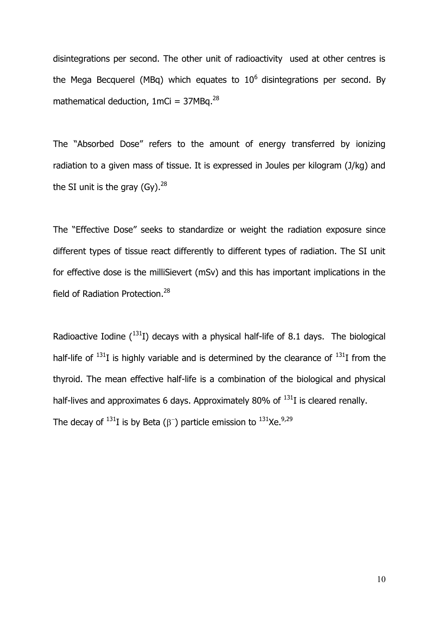disintegrations per second. The other unit of radioactivity used at other centres is the Mega Becquerel (MBq) which equates to  $10^6$  disintegrations per second. By mathematical deduction,  $1mCi = 37MBa.<sup>28</sup>$ 

The "Absorbed Dose" refers to the amount of energy transferred by ionizing radiation to a given mass of tissue. It is expressed in Joules per kilogram (J/kg) and the SI unit is the gray  $(Gy)$ .<sup>28</sup>

The "Effective Dose" seeks to standardize or weight the radiation exposure since different types of tissue react differently to different types of radiation. The SI unit for effective dose is the milliSievert (mSv) and this has important implications in the field of Radiation Protection.<sup>28</sup>

Radioactive Iodine  $(^{131}I)$  decays with a physical half-life of 8.1 days. The biological half-life of  $^{131}I$  is highly variable and is determined by the clearance of  $^{131}I$  from the thyroid. The mean effective half-life is a combination of the biological and physical half-lives and approximates 6 days. Approximately 80% of  $^{131}I$  is cleared renally. The decay of  $^{131}$ I is by Beta ( $\beta^-$ ) particle emission to  $^{131}$ Xe. $^{9,29}$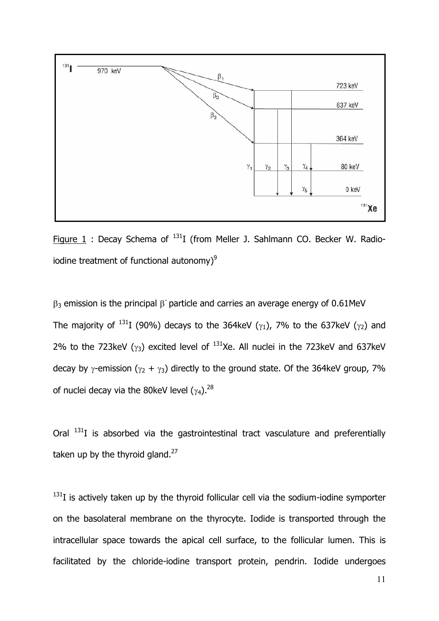

Figure  $1$  : Decay Schema of  $^{131}I$  (from Meller J. Sahlmann CO. Becker W. Radioiodine treatment of functional autonomy)<sup>9</sup>

 $\beta_3$  emission is the principal  $\beta$  particle and carries an average energy of 0.61MeV The majority of  $^{131}I$  (90%) decays to the 364keV ( $\gamma_1$ ), 7% to the 637keV ( $\gamma_2$ ) and 2% to the 723keV ( $\gamma_3$ ) excited level of  $^{131}$ Xe. All nuclei in the 723keV and 637keV decay by  $\gamma$ -emission ( $\gamma_2$  +  $\gamma_3$ ) directly to the ground state. Of the 364keV group, 7% of nuclei decay via the 80keV level  $(\gamma_4)$ .<sup>28</sup>

Oral  $131$  is absorbed via the gastrointestinal tract vasculature and preferentially taken up by the thyroid gland. $27$ 

 $131$ I is actively taken up by the thyroid follicular cell via the sodium-iodine symporter on the basolateral membrane on the thyrocyte. Iodide is transported through the intracellular space towards the apical cell surface, to the follicular lumen. This is facilitated by the chloride-iodine transport protein, pendrin. Iodide undergoes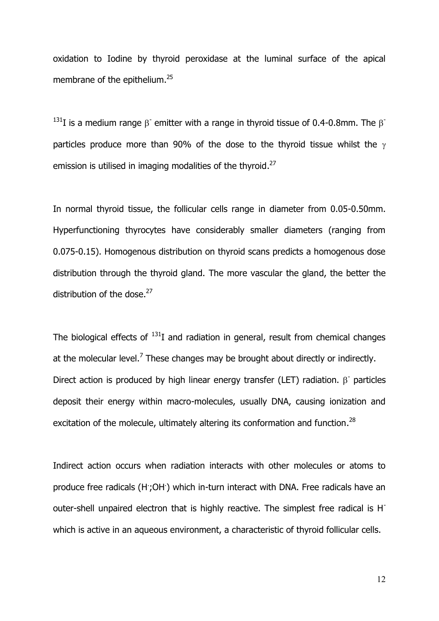oxidation to Iodine by thyroid peroxidase at the luminal surface of the apical membrane of the epithelium.<sup>25</sup>

<sup>131</sup>I is a medium range  $\beta$  emitter with a range in thyroid tissue of 0.4-0.8mm. The  $\beta$ particles produce more than 90% of the dose to the thyroid tissue whilst the  $\gamma$ emission is utilised in imaging modalities of the thyroid.<sup>27</sup>

In normal thyroid tissue, the follicular cells range in diameter from 0.05-0.50mm. Hyperfunctioning thyrocytes have considerably smaller diameters (ranging from 0.075-0.15). Homogenous distribution on thyroid scans predicts a homogenous dose distribution through the thyroid gland. The more vascular the gland, the better the distribution of the dose. $27$ 

The biological effects of  $131$ I and radiation in general, result from chemical changes at the molecular level.<sup>7</sup> These changes may be brought about directly or indirectly. Direct action is produced by high linear energy transfer (LET) radiation.  $\beta$  particles deposit their energy within macro-molecules, usually DNA, causing ionization and excitation of the molecule, ultimately altering its conformation and function.<sup>28</sup>

Indirect action occurs when radiation interacts with other molecules or atoms to produce free radicals (H;OH) which in-turn interact with DNA. Free radicals have an outer-shell unpaired electron that is highly reactive. The simplest free radical is H which is active in an aqueous environment, a characteristic of thyroid follicular cells.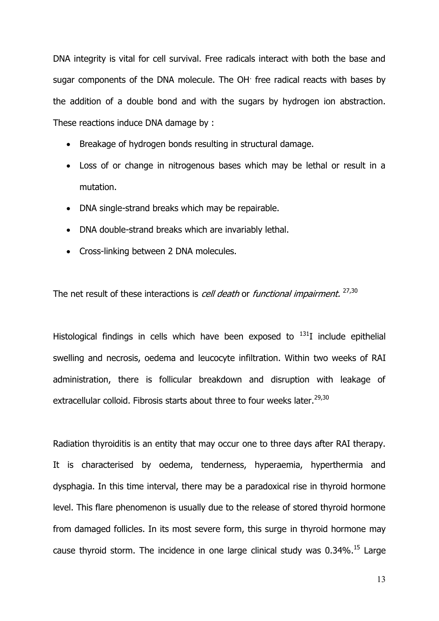DNA integrity is vital for cell survival. Free radicals interact with both the base and sugar components of the DNA molecule. The OH<sup>.</sup> free radical reacts with bases by the addition of a double bond and with the sugars by hydrogen ion abstraction. These reactions induce DNA damage by :

- Breakage of hydrogen bonds resulting in structural damage.
- Loss of or change in nitrogenous bases which may be lethal or result in a mutation.
- DNA single-strand breaks which may be repairable.
- DNA double-strand breaks which are invariably lethal.
- Cross-linking between 2 DNA molecules.

The net result of these interactions is *cell death* or *functional impairment.* 27,30

Histological findings in cells which have been exposed to  $^{131}I$  include epithelial swelling and necrosis, oedema and leucocyte infiltration. Within two weeks of RAI administration, there is follicular breakdown and disruption with leakage of extracellular colloid. Fibrosis starts about three to four weeks later. $^{29,30}$ 

Radiation thyroiditis is an entity that may occur one to three days after RAI therapy. It is characterised by oedema, tenderness, hyperaemia, hyperthermia and dysphagia. In this time interval, there may be a paradoxical rise in thyroid hormone level. This flare phenomenon is usually due to the release of stored thyroid hormone from damaged follicles. In its most severe form, this surge in thyroid hormone may cause thyroid storm. The incidence in one large clinical study was  $0.34\%$ .<sup>15</sup> Large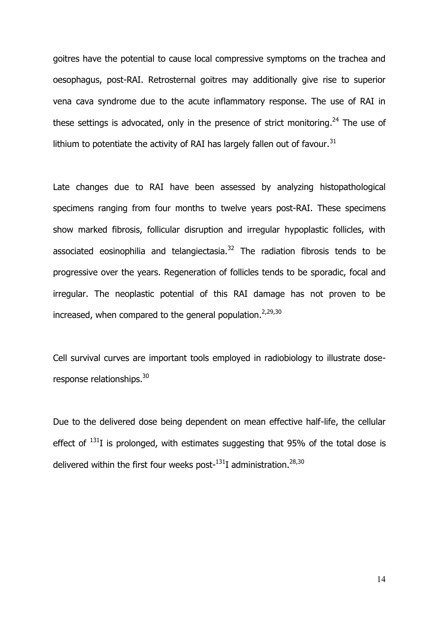goitres have the potential to cause local compressive symptoms on the trachea and oesophagus, post-RAI. Retrosternal goitres may additionally give rise to superior vena cava syndrome due to the acute inflammatory response. The use of RAI in these settings is advocated, only in the presence of strict monitoring.<sup>24</sup> The use of lithium to potentiate the activity of RAI has largely fallen out of favour.<sup>31</sup>

Late changes due to RAI have been assessed by analyzing histopathological specimens ranging from four months to twelve years post-RAI. These specimens show marked fibrosis, follicular disruption and irregular hypoplastic follicles, with associated eosinophilia and telangiectasia.<sup>32</sup> The radiation fibrosis tends to be progressive over the years. Regeneration of follicles tends to be sporadic, focal and irregular. The neoplastic potential of this RAI damage has not proven to be increased, when compared to the general population.<sup>2,29,30</sup>

Cell survival curves are important tools employed in radiobiology to illustrate doseresponse relationships.<sup>30</sup>

Due to the delivered dose being dependent on mean effective half-life, the cellular effect of  $^{131}I$  is prolonged, with estimates suggesting that 95% of the total dose is delivered within the first four weeks post- $^{131}I$  administration.<sup>28,30</sup>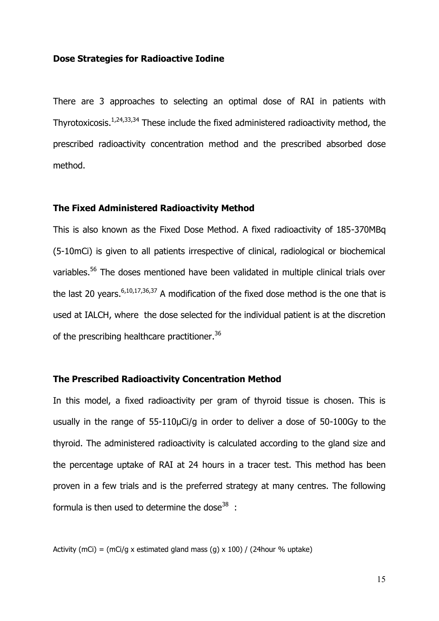#### **Dose Strategies for Radioactive Iodine**

There are 3 approaches to selecting an optimal dose of RAI in patients with Thyrotoxicosis.1,24,33,34 These include the fixed administered radioactivity method, the prescribed radioactivity concentration method and the prescribed absorbed dose method.

#### **The Fixed Administered Radioactivity Method**

This is also known as the Fixed Dose Method. A fixed radioactivity of 185-370MBq (5-10mCi) is given to all patients irrespective of clinical, radiological or biochemical variables.<sup>56</sup> The doses mentioned have been validated in multiple clinical trials over the last 20 years.  $6,10,17,36,37$  A modification of the fixed dose method is the one that is used at IALCH, where the dose selected for the individual patient is at the discretion of the prescribing healthcare practitioner.<sup>36</sup>

#### **The Prescribed Radioactivity Concentration Method**

In this model, a fixed radioactivity per gram of thyroid tissue is chosen. This is usually in the range of 55-110μCi/g in order to deliver a dose of 50-100Gy to the thyroid. The administered radioactivity is calculated according to the gland size and the percentage uptake of RAI at 24 hours in a tracer test. This method has been proven in a few trials and is the preferred strategy at many centres. The following formula is then used to determine the dose  $38$ :

Activity (mCi) = (mCi/g x estimated gland mass (g) x 100) / (24hour % uptake)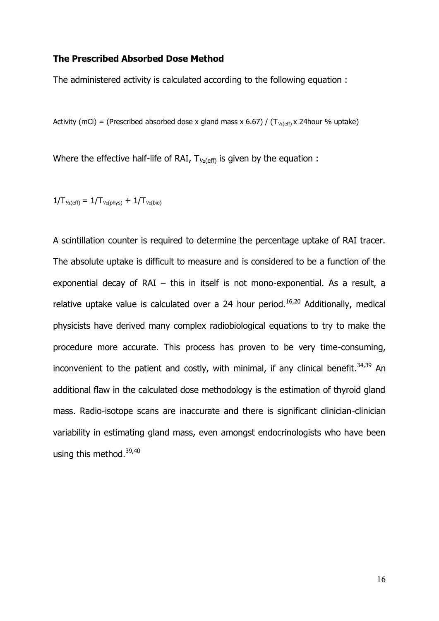#### **The Prescribed Absorbed Dose Method**

The administered activity is calculated according to the following equation :

Activity (mCi) = (Prescribed absorbed dose x gland mass x 6.67) / ( $T_{\gamma_2(\text{eff})}$  x 24hour % uptake)

Where the effective half-life of RAI,  $T_{\frac{1}{2}(\text{eff})}$  is given by the equation :

 $1/T_{\frac{1}{2}(\text{eff})} = 1/T_{\frac{1}{2}(\text{phys})} + 1/T_{\frac{1}{2}(\text{bio})}$ 

A scintillation counter is required to determine the percentage uptake of RAI tracer. The absolute uptake is difficult to measure and is considered to be a function of the exponential decay of RAI – this in itself is not mono-exponential. As a result, a relative uptake value is calculated over a 24 hour period.<sup>16,20</sup> Additionally, medical physicists have derived many complex radiobiological equations to try to make the procedure more accurate. This process has proven to be very time-consuming, inconvenient to the patient and costly, with minimal, if any clinical benefit. $34,39$  An additional flaw in the calculated dose methodology is the estimation of thyroid gland mass. Radio-isotope scans are inaccurate and there is significant clinician-clinician variability in estimating gland mass, even amongst endocrinologists who have been using this method.<sup>39,40</sup>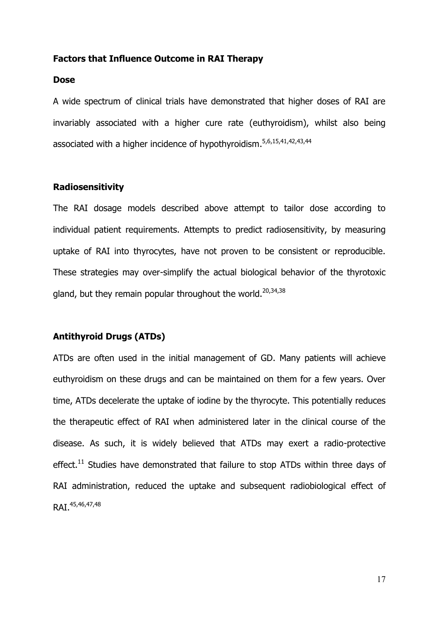#### **Factors that Influence Outcome in RAI Therapy**

#### **Dose**

A wide spectrum of clinical trials have demonstrated that higher doses of RAI are invariably associated with a higher cure rate (euthyroidism), whilst also being associated with a higher incidence of hypothyroidism.5,6,15,41,42,43,44

#### **Radiosensitivity**

The RAI dosage models described above attempt to tailor dose according to individual patient requirements. Attempts to predict radiosensitivity, by measuring uptake of RAI into thyrocytes, have not proven to be consistent or reproducible. These strategies may over-simplify the actual biological behavior of the thyrotoxic gland, but they remain popular throughout the world.<sup>20,34,38</sup>

#### **Antithyroid Drugs (ATDs)**

ATDs are often used in the initial management of GD. Many patients will achieve euthyroidism on these drugs and can be maintained on them for a few years. Over time, ATDs decelerate the uptake of iodine by the thyrocyte. This potentially reduces the therapeutic effect of RAI when administered later in the clinical course of the disease. As such, it is widely believed that ATDs may exert a radio-protective effect.<sup>11</sup> Studies have demonstrated that failure to stop ATDs within three days of RAI administration, reduced the uptake and subsequent radiobiological effect of RAI<sup>45,46,47,48</sup>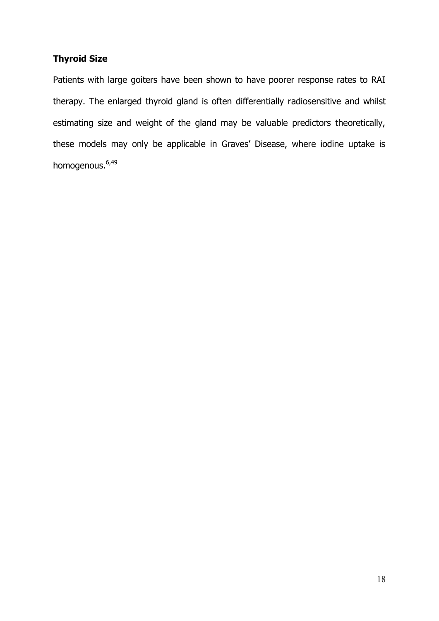### **Thyroid Size**

Patients with large goiters have been shown to have poorer response rates to RAI therapy. The enlarged thyroid gland is often differentially radiosensitive and whilst estimating size and weight of the gland may be valuable predictors theoretically, these models may only be applicable in Graves' Disease, where iodine uptake is homogenous.<sup>6,49</sup>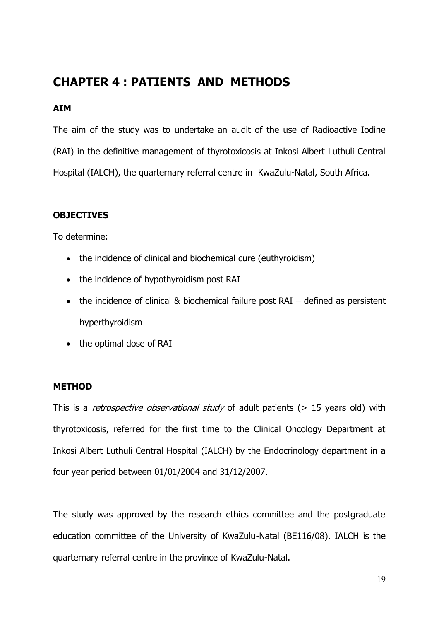## **CHAPTER 4 : PATIENTS AND METHODS**

#### **AIM**

The aim of the study was to undertake an audit of the use of Radioactive Iodine (RAI) in the definitive management of thyrotoxicosis at Inkosi Albert Luthuli Central Hospital (IALCH), the quarternary referral centre in KwaZulu-Natal, South Africa.

#### **OBJECTIVES**

To determine:

- the incidence of clinical and biochemical cure (euthyroidism)
- the incidence of hypothyroidism post RAI
- the incidence of clinical & biochemical failure post RAI defined as persistent hyperthyroidism
- the optimal dose of RAI

#### **METHOD**

This is a *retrospective observational study* of adult patients (> 15 years old) with thyrotoxicosis, referred for the first time to the Clinical Oncology Department at Inkosi Albert Luthuli Central Hospital (IALCH) by the Endocrinology department in a four year period between 01/01/2004 and 31/12/2007.

The study was approved by the research ethics committee and the postgraduate education committee of the University of KwaZulu-Natal (BE116/08). IALCH is the quarternary referral centre in the province of KwaZulu-Natal.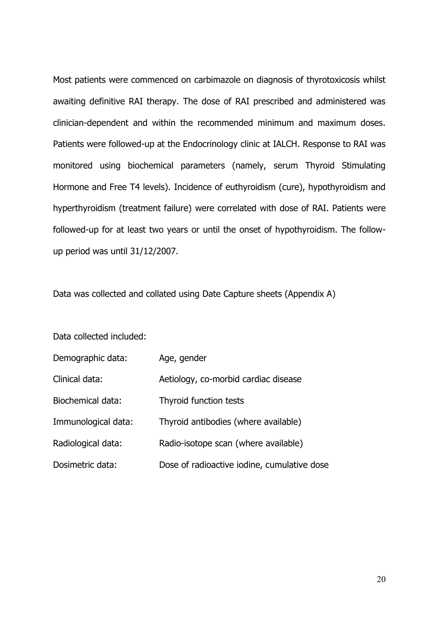Most patients were commenced on carbimazole on diagnosis of thyrotoxicosis whilst awaiting definitive RAI therapy. The dose of RAI prescribed and administered was clinician-dependent and within the recommended minimum and maximum doses. Patients were followed-up at the Endocrinology clinic at IALCH. Response to RAI was monitored using biochemical parameters (namely, serum Thyroid Stimulating Hormone and Free T4 levels). Incidence of euthyroidism (cure), hypothyroidism and hyperthyroidism (treatment failure) were correlated with dose of RAI. Patients were followed-up for at least two years or until the onset of hypothyroidism. The follow up period was until 31/12/2007.

Data was collected and collated using Date Capture sheets (Appendix A)

Data collected included:

| Demographic data:   | Age, gender                                 |
|---------------------|---------------------------------------------|
| Clinical data:      | Aetiology, co-morbid cardiac disease        |
| Biochemical data:   | Thyroid function tests                      |
| Immunological data: | Thyroid antibodies (where available)        |
| Radiological data:  | Radio-isotope scan (where available)        |
| Dosimetric data:    | Dose of radioactive iodine, cumulative dose |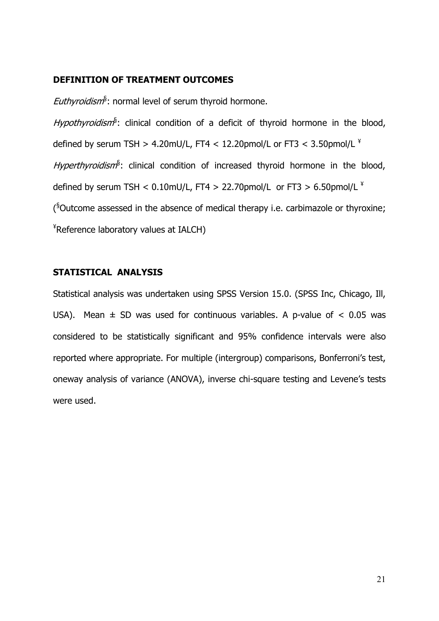#### **DEFINITION OF TREATMENT OUTCOMES**

*Euthyroidism*§ : normal level of serum thyroid hormone.

*Hypothyroidism*§ : clinical condition of a deficit of thyroid hormone in the blood, defined by serum TSH > 4.20mU/L, FT4 < 12.20pmol/L or FT3 < 3.50pmol/L  $^4$ *Hyperthyroidism*§ : clinical condition of increased thyroid hormone in the blood, defined by serum TSH <  $0.10$ mU/L, FT4 > 22.70pmol/L or FT3 >  $6.50$ pmol/L  $^{4}$ ( §Outcome assessed in the absence of medical therapy i.e. carbimazole or thyroxine; ¥Reference laboratory values at IALCH)

#### **STATISTICAL ANALYSIS**

Statistical analysis was undertaken using SPSS Version 15.0. (SPSS Inc, Chicago, Ill, USA). Mean  $\pm$  SD was used for continuous variables. A p-value of  $\lt$  0.05 was considered to be statistically significant and 95% confidence intervals were also reported where appropriate. For multiple (intergroup) comparisons, Bonferroni's test, oneway analysis of variance (ANOVA), inverse chi-square testing and Levene's tests were used.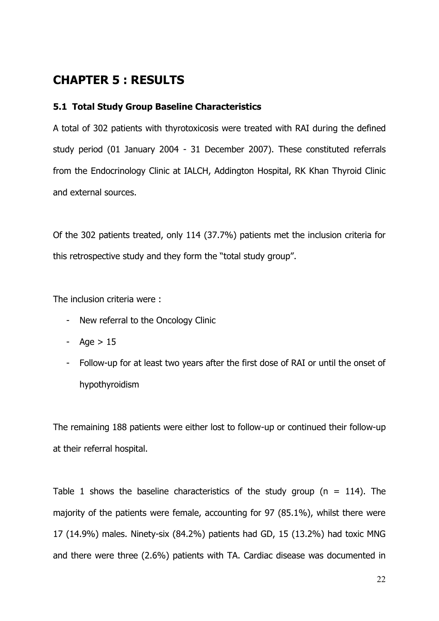## **CHAPTER 5 : RESULTS**

#### **5.1 Total Study Group Baseline Characteristics**

A total of 302 patients with thyrotoxicosis were treated with RAI during the defined study period (01 January 2004 - 31 December 2007). These constituted referrals from the Endocrinology Clinic at IALCH, Addington Hospital, RK Khan Thyroid Clinic and external sources.

Of the 302 patients treated, only 114 (37.7%) patients met the inclusion criteria for this retrospective study and they form the "total study group".

The inclusion criteria were :

- New referral to the Oncology Clinic
- Age  $> 15$
- Follow-up for at least two years after the first dose of RAI or until the onset of hypothyroidism

The remaining 188 patients were either lost to follow-up or continued their follow-up at their referral hospital.

Table 1 shows the baseline characteristics of the study group ( $n = 114$ ). The majority of the patients were female, accounting for 97 (85.1%), whilst there were 17 (14.9%) males. Ninety-six (84.2%) patients had GD, 15 (13.2%) had toxic MNG and there were three (2.6%) patients with TA. Cardiac disease was documented in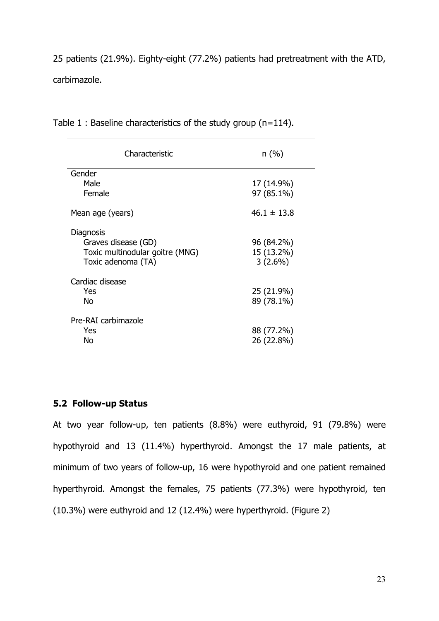25 patients (21.9%). Eighty-eight (77.2%) patients had pretreatment with the ATD, carbimazole.

| Characteristic                                                                            | n(%)                                   |
|-------------------------------------------------------------------------------------------|----------------------------------------|
| Gender                                                                                    |                                        |
| Male<br>Female                                                                            | 17 (14.9%)<br>97 (85.1%)               |
| Mean age (years)                                                                          | $46.1 \pm 13.8$                        |
| Diagnosis<br>Graves disease (GD)<br>Toxic multinodular goitre (MNG)<br>Toxic adenoma (TA) | 96 (84.2%)<br>15 (13.2%)<br>$3(2.6\%)$ |
| Cardiac disease<br>Yes<br>No                                                              | 25 (21.9%)<br>89 (78.1%)               |
| Pre-RAI carbimazole<br>Yes<br>No                                                          | 88 (77.2%)<br>26 (22.8%)               |

Table 1 : Baseline characteristics of the study group (n=114).

#### **5.2 Follow-up Status**

At two year follow-up, ten patients (8.8%) were euthyroid, 91 (79.8%) were hypothyroid and 13 (11.4%) hyperthyroid. Amongst the 17 male patients, at minimum of two years of follow-up, 16 were hypothyroid and one patient remained hyperthyroid. Amongst the females, 75 patients (77.3%) were hypothyroid, ten (10.3%) were euthyroid and 12 (12.4%) were hyperthyroid. (Figure 2)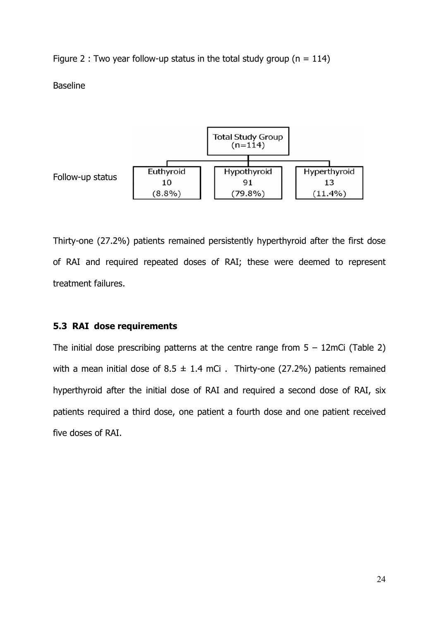Figure 2 : Two year follow-up status in the total study group ( $n = 114$ )

Baseline



Thirty-one (27.2%) patients remained persistently hyperthyroid after the first dose of RAI and required repeated doses of RAI; these were deemed to represent treatment failures.

### **5.3 RAI dose requirements**

The initial dose prescribing patterns at the centre range from  $5 - 12$ mCi (Table 2) with a mean initial dose of  $8.5 \pm 1.4$  mCi. Thirty-one (27.2%) patients remained hyperthyroid after the initial dose of RAI and required a second dose of RAI, six patients required a third dose, one patient a fourth dose and one patient received five doses of RAI.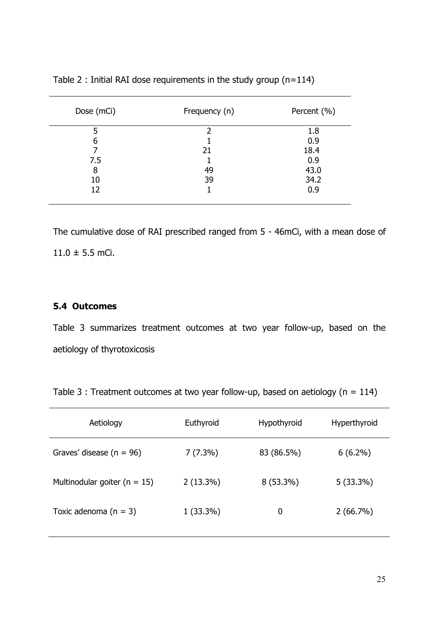| Dose (mCi) | Frequency (n) | Percent (%) |
|------------|---------------|-------------|
| 5          | າ             | 1.8         |
| 6          |               | 0.9         |
|            | 21            | 18.4        |
| 7.5        |               | 0.9         |
| 8          | 49            | 43.0        |
| 10         | 39            | 34.2        |
| 12         |               | 0.9         |
|            |               |             |

Table 2 : Initial RAI dose requirements in the study group (n=114)

The cumulative dose of RAI prescribed ranged from 5 - 46mCi, with a mean dose of  $11.0 \pm 5.5$  mCi.

#### **5.4 Outcomes**

Table 3 summarizes treatment outcomes at two year follow-up, based on the aetiology of thyrotoxicosis

|  | Table 3 : Treatment outcomes at two year follow-up, based on aetiology ( $n = 114$ ) |
|--|--------------------------------------------------------------------------------------|
|--|--------------------------------------------------------------------------------------|

| Aetiology                        | Euthyroid   | Hypothyroid | Hyperthyroid |
|----------------------------------|-------------|-------------|--------------|
| Graves' disease ( $n = 96$ )     | $7(7.3\%)$  | 83 (86.5%)  | $6(6.2\%)$   |
| Multinodular goiter ( $n = 15$ ) | $2(13.3\%)$ | $8(53.3\%)$ | $5(33.3\%)$  |
| Toxic adenoma $(n = 3)$          | $1(33.3\%)$ | 0           | $2(66.7\%)$  |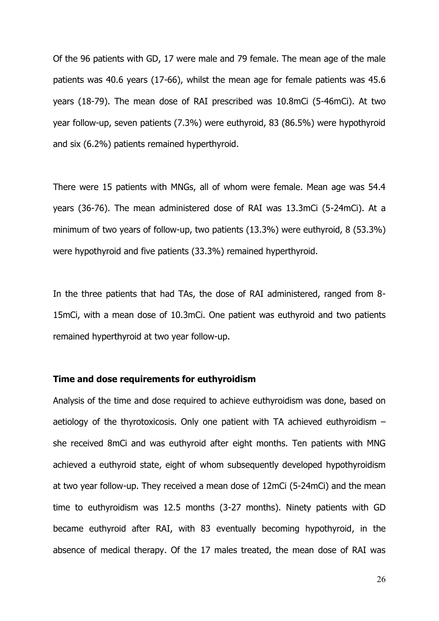Of the 96 patients with GD, 17 were male and 79 female. The mean age of the male patients was 40.6 years (17-66), whilst the mean age for female patients was 45.6 years (18-79). The mean dose of RAI prescribed was 10.8mCi (5-46mCi). At two year follow-up, seven patients (7.3%) were euthyroid, 83 (86.5%) were hypothyroid and six (6.2%) patients remained hyperthyroid.

There were 15 patients with MNGs, all of whom were female. Mean age was 54.4 years (36-76). The mean administered dose of RAI was 13.3mCi (5-24mCi). At a minimum of two years of follow-up, two patients (13.3%) were euthyroid, 8 (53.3%) were hypothyroid and five patients (33.3%) remained hyperthyroid.

In the three patients that had TAs, the dose of RAI administered, ranged from 8- 15mCi, with a mean dose of 10.3mCi. One patient was euthyroid and two patients remained hyperthyroid at two year follow-up.

#### **Time and dose requirements for euthyroidism**

Analysis of the time and dose required to achieve euthyroidism was done, based on aetiology of the thyrotoxicosis. Only one patient with TA achieved euthyroidism – she received 8mCi and was euthyroid after eight months. Ten patients with MNG achieved a euthyroid state, eight of whom subsequently developed hypothyroidism at two year follow-up. They received a mean dose of 12mCi (5-24mCi) and the mean time to euthyroidism was 12.5 months (3-27 months). Ninety patients with GD became euthyroid after RAI, with 83 eventually becoming hypothyroid, in the absence of medical therapy. Of the 17 males treated, the mean dose of RAI was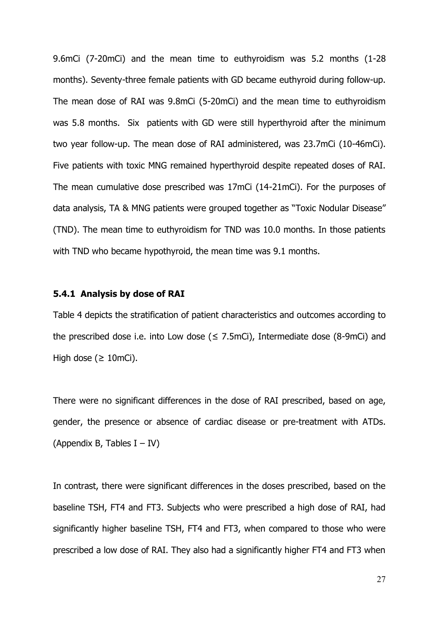9.6mCi (7-20mCi) and the mean time to euthyroidism was 5.2 months (1-28 months). Seventy-three female patients with GD became euthyroid during follow-up. The mean dose of RAI was 9.8mCi (5-20mCi) and the mean time to euthyroidism was 5.8 months. Six patients with GD were still hyperthyroid after the minimum two year follow-up. The mean dose of RAI administered, was 23.7mCi (10-46mCi). Five patients with toxic MNG remained hyperthyroid despite repeated doses of RAI. The mean cumulative dose prescribed was 17mCi (14-21mCi). For the purposes of data analysis, TA & MNG patients were grouped together as "Toxic Nodular Disease" (TND). The mean time to euthyroidism for TND was 10.0 months. In those patients with TND who became hypothyroid, the mean time was 9.1 months.

#### **5.4.1 Analysis by dose of RAI**

Table 4 depicts the stratification of patient characteristics and outcomes according to the prescribed dose i.e. into Low dose  $( \leq 7.5 \text{mCi})$ , Intermediate dose  $(8.9 \text{mCi})$  and High dose ( $\geq 10$ mCi).

There were no significant differences in the dose of RAI prescribed, based on age, gender, the presence or absence of cardiac disease or pre-treatment with ATDs. (Appendix B, Tables  $I - IV$ )

In contrast, there were significant differences in the doses prescribed, based on the baseline TSH, FT4 and FT3. Subjects who were prescribed a high dose of RAI, had significantly higher baseline TSH, FT4 and FT3, when compared to those who were prescribed a low dose of RAI. They also had a significantly higher FT4 and FT3 when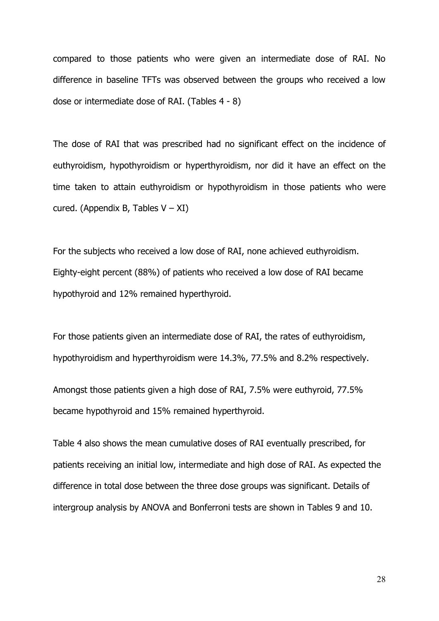compared to those patients who were given an intermediate dose of RAI. No difference in baseline TFTs was observed between the groups who received a low dose or intermediate dose of RAI. (Tables 4 - 8)

The dose of RAI that was prescribed had no significant effect on the incidence of euthyroidism, hypothyroidism or hyperthyroidism, nor did it have an effect on the time taken to attain euthyroidism or hypothyroidism in those patients who were cured. (Appendix B, Tables  $V - XI$ )

For the subjects who received a low dose of RAI, none achieved euthyroidism. Eighty-eight percent (88%) of patients who received a low dose of RAI became hypothyroid and 12% remained hyperthyroid.

For those patients given an intermediate dose of RAI, the rates of euthyroidism, hypothyroidism and hyperthyroidism were 14.3%, 77.5% and 8.2% respectively.

Amongst those patients given a high dose of RAI, 7.5% were euthyroid, 77.5% became hypothyroid and 15% remained hyperthyroid.

Table 4 also shows the mean cumulative doses of RAI eventually prescribed, for patients receiving an initial low, intermediate and high dose of RAI. As expected the difference in total dose between the three dose groups was significant. Details of intergroup analysis by ANOVA and Bonferroni tests are shown in Tables 9 and 10.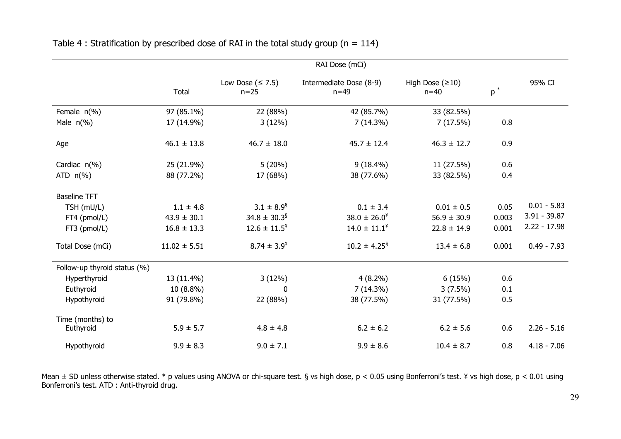|                              | RAI Dose (mCi)   |                                  |                                   |                             |                    |                |
|------------------------------|------------------|----------------------------------|-----------------------------------|-----------------------------|--------------------|----------------|
|                              | <b>Total</b>     | Low Dose $( \leq 7.5)$<br>$n=25$ | Intermediate Dose (8-9)<br>$n=49$ | High Dose $(≥10)$<br>$n=40$ | $\mathsf{p}^{\,*}$ | 95% CI         |
| Female $n(\%)$               | 97 (85.1%)       | 22 (88%)                         | 42 (85.7%)                        | 33 (82.5%)                  |                    |                |
| Male $n(\%)$                 | 17 (14.9%)       | 3(12%)                           | 7(14.3%)                          | 7(17.5%)                    | 0.8                |                |
| Age                          | $46.1 \pm 13.8$  | $46.7 \pm 18.0$                  | $45.7 \pm 12.4$                   | $46.3 \pm 12.7$             | 0.9                |                |
| Cardiac $n(\%)$              | 25 (21.9%)       | 5(20%)                           | $9(18.4\%)$                       | 11 (27.5%)                  | 0.6                |                |
| ATD $n(\%)$                  | 88 (77.2%)       | 17 (68%)                         | 38 (77.6%)                        | 33 (82.5%)                  | 0.4                |                |
| <b>Baseline TFT</b>          |                  |                                  |                                   |                             |                    |                |
| TSH (mU/L)                   | $1.1 \pm 4.8$    | $3.1 \pm 8.9^{\$}$               | $0.1 \pm 3.4$                     | $0.01 \pm 0.5$              | 0.05               | $0.01 - 5.83$  |
| FT4 (pmol/L)                 | $43.9 \pm 30.1$  | $34.8 \pm 30.3$ <sup>§</sup>     | $38.0 \pm 26.0^{\circ}$           | $56.9 \pm 30.9$             | 0.003              | $3.91 - 39.87$ |
| FT3 (pmol/L)                 | $16.8 \pm 13.3$  | $12.6 \pm 11.5^{\circ}$          | $14.0 \pm 11.1^{\circ}$           | $22.8 \pm 14.9$             | 0.001              | $2.22 - 17.98$ |
| Total Dose (mCi)             | $11.02 \pm 5.51$ | $8.74 \pm 3.9^{\circ}$           | $10.2 \pm 4.25$ <sup>§</sup>      | $13.4 \pm 6.8$              | 0.001              | $0.49 - 7.93$  |
| Follow-up thyroid status (%) |                  |                                  |                                   |                             |                    |                |
| Hyperthyroid                 | 13 (11.4%)       | 3(12%)                           | $4(8.2\%)$                        | 6(15%)                      | 0.6                |                |
| Euthyroid                    | 10 (8.8%)        | $\mathbf 0$                      | 7(14.3%)                          | $3(7.5\%)$                  | 0.1                |                |
| Hypothyroid                  | 91 (79.8%)       | 22 (88%)                         | 38 (77.5%)                        | 31 (77.5%)                  | 0.5                |                |
| Time (months) to             |                  |                                  |                                   |                             |                    |                |
| Euthyroid                    | $5.9 \pm 5.7$    | $4.8 \pm 4.8$                    | $6.2 \pm 6.2$                     | $6.2 \pm 5.6$               | 0.6                | $2.26 - 5.16$  |
| Hypothyroid                  | $9.9 \pm 8.3$    | $9.0 \pm 7.1$                    | $9.9 \pm 8.6$                     | $10.4 \pm 8.7$              | 0.8                | $4.18 - 7.06$  |

Table 4 : Stratification by prescribed dose of RAI in the total study group ( $n = 114$ )

Mean  $\pm$  SD unless otherwise stated. \* p values using ANOVA or chi-square test. § vs high dose, p < 0.05 using Bonferroni's test. ¥ vs high dose, p < 0.01 using Bonferroni's test. ATD : Anti-thyroid drug.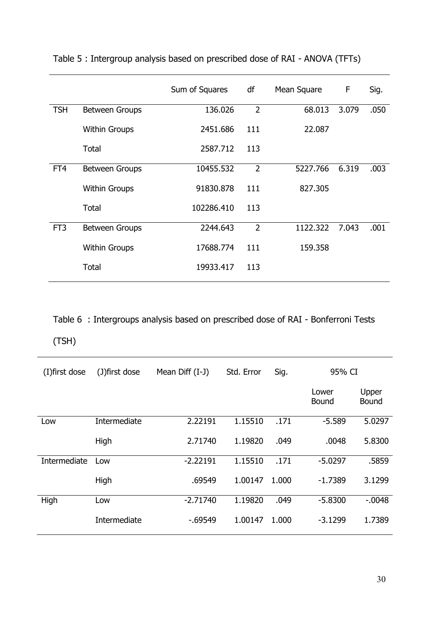|                 |                       | Sum of Squares | df             | Mean Square | F     | Sig. |
|-----------------|-----------------------|----------------|----------------|-------------|-------|------|
| <b>TSH</b>      | <b>Between Groups</b> | 136.026        | $\overline{2}$ | 68.013      | 3.079 | .050 |
|                 | <b>Within Groups</b>  | 2451.686       | 111            | 22.087      |       |      |
|                 | Total                 | 2587.712       | 113            |             |       |      |
| FT4             | <b>Between Groups</b> | 10455.532      | $\overline{2}$ | 5227.766    | 6.319 | .003 |
|                 | <b>Within Groups</b>  | 91830.878      | 111            | 827.305     |       |      |
|                 | Total                 | 102286.410     | 113            |             |       |      |
| FT <sub>3</sub> | Between Groups        | 2244.643       | $\overline{2}$ | 1122.322    | 7.043 | .001 |
|                 | <b>Within Groups</b>  | 17688.774      | 111            | 159.358     |       |      |
|                 | Total                 | 19933.417      | 113            |             |       |      |
|                 |                       |                |                |             |       |      |

Table 5 : Intergroup analysis based on prescribed dose of RAI - ANOVA (TFTs)

Table 6 : Intergroups analysis based on prescribed dose of RAI - Bonferroni Tests

(TSH)

| (I) first dose | (J) first dose | Mean Diff (I-J) | Std. Error | Sig.  | 95% CI         |                |
|----------------|----------------|-----------------|------------|-------|----------------|----------------|
|                |                |                 |            |       | Lower<br>Bound | Upper<br>Bound |
| Low            | Intermediate   | 2.22191         | 1.15510    | .171  | $-5.589$       | 5.0297         |
|                | High           | 2.71740         | 1.19820    | .049  | .0048          | 5.8300         |
| Intermediate   | Low            | $-2.22191$      | 1.15510    | .171  | $-5.0297$      | .5859          |
|                | High           | .69549          | 1.00147    | 1.000 | $-1.7389$      | 3.1299         |
| High           | Low            | $-2.71740$      | 1.19820    | .049  | $-5.8300$      | $-0.048$       |
|                | Intermediate   | $-0.69549$      | 1.00147    | 1.000 | $-3.1299$      | 1.7389         |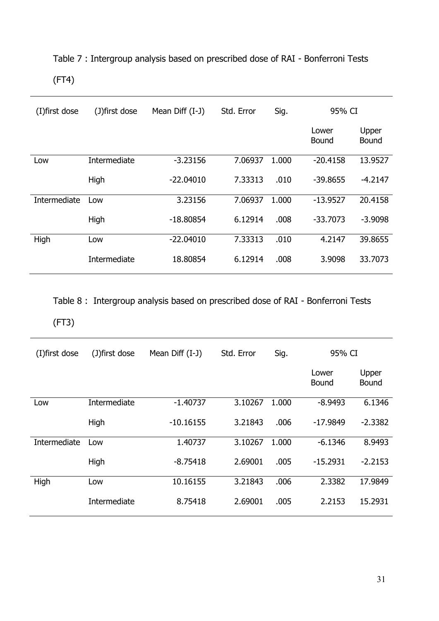# Table 7 : Intergroup analysis based on prescribed dose of RAI - Bonferroni Tests (FT4)

| (I) first dose | (J)first dose | Mean Diff (I-J) | Std. Error | Sig.  | 95% CI                |                       |
|----------------|---------------|-----------------|------------|-------|-----------------------|-----------------------|
|                |               |                 |            |       | Lower<br><b>Bound</b> | Upper<br><b>Bound</b> |
| Low            | Intermediate  | $-3.23156$      | 7.06937    | 1.000 | $-20.4158$            | 13.9527               |
|                | High          | $-22.04010$     | 7.33313    | .010  | $-39.8655$            | $-4.2147$             |
| Intermediate   | Low           | 3.23156         | 7.06937    | 1.000 | $-13.9527$            | 20.4158               |
|                | High          | $-18.80854$     | 6.12914    | .008  | $-33,7073$            | $-3.9098$             |
| High           | Low           | $-22.04010$     | 7.33313    | .010  | 4.2147                | 39.8655               |
|                | Intermediate  | 18.80854        | 6.12914    | .008  | 3.9098                | 33.7073               |

Table 8 : Intergroup analysis based on prescribed dose of RAI - Bonferroni Tests

## (FT3)

| (I) first dose | (J) first dose | Mean Diff (I-J) | Std. Error | Sig.  | 95% CI         |                       |
|----------------|----------------|-----------------|------------|-------|----------------|-----------------------|
|                |                |                 |            |       | Lower<br>Bound | Upper<br><b>Bound</b> |
| Low            | Intermediate   | $-1.40737$      | 3.10267    | 1.000 | $-8.9493$      | 6.1346                |
|                | High           | $-10.16155$     | 3.21843    | .006  | $-17.9849$     | $-2.3382$             |
| Intermediate   | Low            | 1.40737         | 3.10267    | 1.000 | $-6.1346$      | 8.9493                |
|                | High           | $-8.75418$      | 2.69001    | .005  | $-15.2931$     | $-2.2153$             |
| High           | Low            | 10.16155        | 3.21843    | .006  | 2.3382         | 17.9849               |
|                | Intermediate   | 8.75418         | 2.69001    | .005  | 2.2153         | 15.2931               |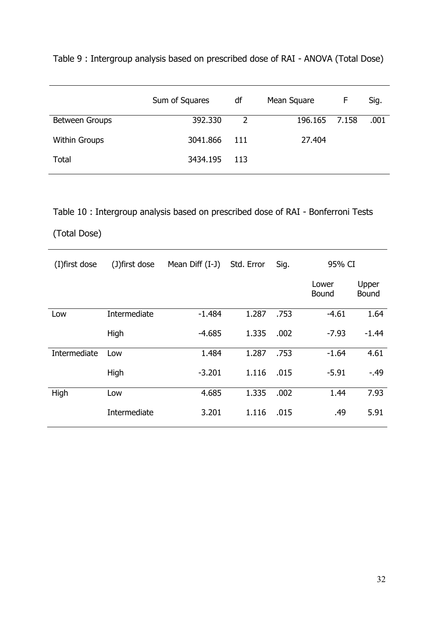| Table 9: Intergroup analysis based on prescribed dose of RAI - ANOVA (Total Dose) |  |
|-----------------------------------------------------------------------------------|--|
|-----------------------------------------------------------------------------------|--|

|                      | Sum of Squares | df             | Mean Square   | F | Sig. |
|----------------------|----------------|----------------|---------------|---|------|
| Between Groups       | 392.330        | $\overline{2}$ | 196.165 7.158 |   | .001 |
| <b>Within Groups</b> | 3041.866       | - 111          | 27.404        |   |      |
| <b>Total</b>         | 3434.195       | - 113          |               |   |      |
|                      |                |                |               |   |      |

Table 10 : Intergroup analysis based on prescribed dose of RAI - Bonferroni Tests

## (Total Dose)

| (I) first dose | (J)first dose | Mean Diff (I-J) | Std. Error | Sig. | 95% CI         |                |
|----------------|---------------|-----------------|------------|------|----------------|----------------|
|                |               |                 |            |      | Lower<br>Bound | Upper<br>Bound |
| Low            | Intermediate  | $-1.484$        | 1.287      | .753 | $-4.61$        | 1.64           |
|                | High          | $-4.685$        | 1.335      | .002 | $-7.93$        | $-1.44$        |
| Intermediate   | Low           | 1.484           | 1.287      | .753 | $-1.64$        | 4.61           |
|                | High          | $-3.201$        | 1.116      | .015 | $-5.91$        | $-49$          |
| High           | Low           | 4.685           | 1.335      | .002 | 1.44           | 7.93           |
|                | Intermediate  | 3.201           | 1.116      | .015 | .49            | 5.91           |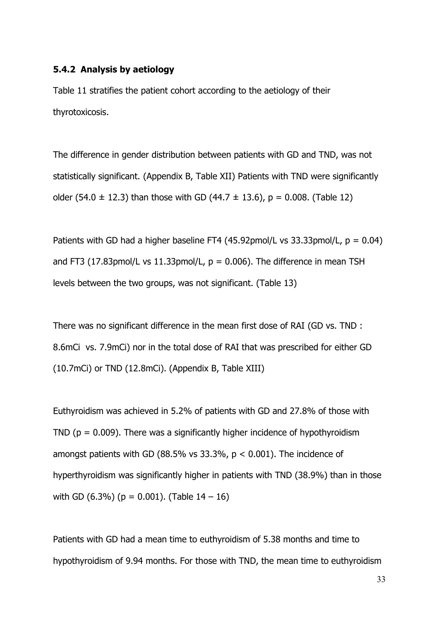#### **5.4.2 Analysis by aetiology**

Table 11 stratifies the patient cohort according to the aetiology of their thyrotoxicosis.

The difference in gender distribution between patients with GD and TND, was not statistically significant. (Appendix B, Table XII) Patients with TND were significantly older (54.0  $\pm$  12.3) than those with GD (44.7  $\pm$  13.6), p = 0.008. (Table 12)

Patients with GD had a higher baseline FT4 (45.92pmol/L vs 33.33pmol/L,  $p = 0.04$ ) and FT3 (17.83pmol/L vs 11.33pmol/L,  $p = 0.006$ ). The difference in mean TSH levels between the two groups, was not significant. (Table 13)

There was no significant difference in the mean first dose of RAI (GD vs. TND : 8.6mCi vs. 7.9mCi) nor in the total dose of RAI that was prescribed for either GD (10.7mCi) or TND (12.8mCi). (Appendix B, Table XIII)

Euthyroidism was achieved in 5.2% of patients with GD and 27.8% of those with TND ( $p = 0.009$ ). There was a significantly higher incidence of hypothyroidism amongst patients with GD (88.5% vs  $33.3\%$ , p < 0.001). The incidence of hyperthyroidism was significantly higher in patients with TND (38.9%) than in those with GD  $(6.3\%)$  (p = 0.001). (Table  $14 - 16$ )

Patients with GD had a mean time to euthyroidism of 5.38 months and time to hypothyroidism of 9.94 months. For those with TND, the mean time to euthyroidism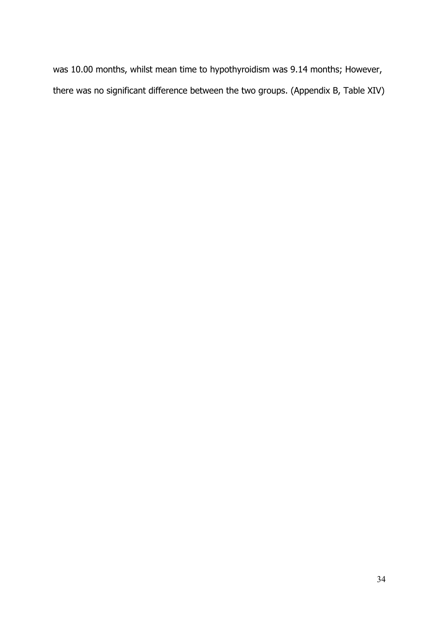was 10.00 months, whilst mean time to hypothyroidism was 9.14 months; However, there was no significant difference between the two groups. (Appendix B, Table XIV)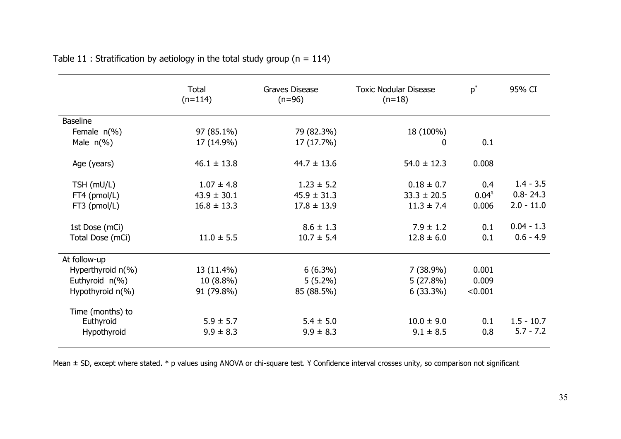|                      | Total<br>$(n=114)$ | <b>Graves Disease</b><br><b>Toxic Nodular Disease</b><br>$(n=96)$<br>$(n=18)$ |                 | $p^*$    | 95% CI       |
|----------------------|--------------------|-------------------------------------------------------------------------------|-----------------|----------|--------------|
| <b>Baseline</b>      |                    |                                                                               |                 |          |              |
| Female $n(\%)$       | 97 (85.1%)         | 79 (82.3%)                                                                    | 18 (100%)       |          |              |
| Male $n(\%)$         | 17 (14.9%)         | 17 (17.7%)                                                                    | 0               | 0.1      |              |
| Age (years)          | $46.1 \pm 13.8$    | $44.7 \pm 13.6$                                                               | $54.0 \pm 12.3$ | 0.008    |              |
| TSH (mU/L)           | $1.07 \pm 4.8$     | $1.23 \pm 5.2$                                                                | $0.18 \pm 0.7$  | 0.4      | $1.4 - 3.5$  |
| FT4 (pmol/L)         | $43.9 \pm 30.1$    | $45.9 \pm 31.3$                                                               | $33.3 \pm 20.5$ | $0.04^*$ | $0.8 - 24.3$ |
| FT3 (pmol/L)         | $16.8 \pm 13.3$    | $17.8 \pm 13.9$                                                               | $11.3 \pm 7.4$  | 0.006    | $2.0 - 11.0$ |
| 1st Dose (mCi)       |                    | $8.6 \pm 1.3$                                                                 | $7.9 \pm 1.2$   | 0.1      | $0.04 - 1.3$ |
| Total Dose (mCi)     | $11.0 \pm 5.5$     | $10.7 \pm 5.4$                                                                | $12.8 \pm 6.0$  | 0.1      | $0.6 - 4.9$  |
| At follow-up         |                    |                                                                               |                 |          |              |
| Hyperthyroid $n(\%)$ | 13 (11.4%)         | $6(6.3\%)$                                                                    | $7(38.9\%)$     | 0.001    |              |
| Euthyroid n(%)       | $10(8.8\%)$        | $5(5.2\%)$                                                                    | 5(27.8%)        | 0.009    |              |
| Hypothyroid $n(\%)$  | 91 (79.8%)         | 85 (88.5%)                                                                    | $6(33.3\%)$     | < 0.001  |              |
| Time (months) to     |                    |                                                                               |                 |          |              |
| Euthyroid            | $5.9 \pm 5.7$      | $5.4 \pm 5.0$                                                                 | $10.0 \pm 9.0$  | 0.1      | $1.5 - 10.7$ |
| Hypothyroid          | $9.9 \pm 8.3$      | $9.9 \pm 8.3$                                                                 | $9.1 \pm 8.5$   | 0.8      | $5.7 - 7.2$  |

| Table 11 : Stratification by aetiology in the total study group (n = 114) |  |  |  |
|---------------------------------------------------------------------------|--|--|--|
|---------------------------------------------------------------------------|--|--|--|

Mean ± SD, except where stated. \* p values using ANOVA or chi-square test. ¥ Confidence interval crosses unity, so comparison not significant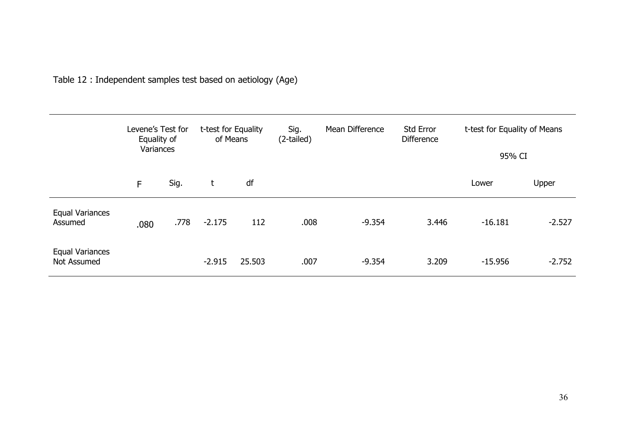|                                       | Levene's Test for<br>Equality of<br>Variances |      | t-test for Equality<br>Sig.<br>of Means |        | (2-tailed) | Mean Difference | Std Error<br><b>Difference</b> |           | t-test for Equality of Means<br>95% CI |  |
|---------------------------------------|-----------------------------------------------|------|-----------------------------------------|--------|------------|-----------------|--------------------------------|-----------|----------------------------------------|--|
|                                       | F                                             | Sig. | t                                       | df     |            |                 |                                | Lower     | Upper                                  |  |
| Equal Variances<br>Assumed            | .080                                          | .778 | $-2.175$                                | 112    | .008       | $-9.354$        | 3.446                          | $-16.181$ | $-2.527$                               |  |
| <b>Equal Variances</b><br>Not Assumed |                                               |      | $-2.915$                                | 25.503 | .007       | $-9.354$        | 3.209                          | $-15.956$ | $-2.752$                               |  |

Table 12 : Independent samples test based on aetiology (Age)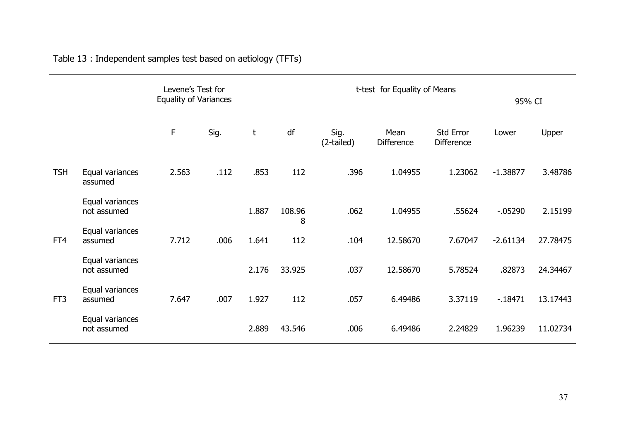|                 |                                |       | Levene's Test for<br><b>Equality of Variances</b> |       |             |                    | t-test for Equality of Means | 95% CI                                |            |          |
|-----------------|--------------------------------|-------|---------------------------------------------------|-------|-------------|--------------------|------------------------------|---------------------------------------|------------|----------|
|                 |                                | F     | Sig.                                              | t     | df          | Sig.<br>(2-tailed) | Mean<br><b>Difference</b>    | <b>Std Error</b><br><b>Difference</b> | Lower      | Upper    |
| <b>TSH</b>      | Equal variances<br>assumed     | 2.563 | .112                                              | .853  | 112         | .396               | 1.04955                      | 1.23062                               | $-1.38877$ | 3.48786  |
|                 | Equal variances<br>not assumed |       |                                                   | 1.887 | 108.96<br>8 | .062               | 1.04955                      | .55624                                | $-05290$   | 2.15199  |
| FT4             | Equal variances<br>assumed     | 7.712 | .006                                              | 1.641 | 112         | .104               | 12.58670                     | 7.67047                               | $-2.61134$ | 27.78475 |
|                 | Equal variances<br>not assumed |       |                                                   | 2.176 | 33.925      | .037               | 12.58670                     | 5.78524                               | .82873     | 24.34467 |
| FT <sub>3</sub> | Equal variances<br>assumed     | 7.647 | .007                                              | 1.927 | 112         | .057               | 6.49486                      | 3.37119                               | $-18471$   | 13.17443 |
|                 | Equal variances<br>not assumed |       |                                                   | 2.889 | 43.546      | .006               | 6.49486                      | 2.24829                               | 1.96239    | 11.02734 |

Table 13 : Independent samples test based on aetiology (TFTs)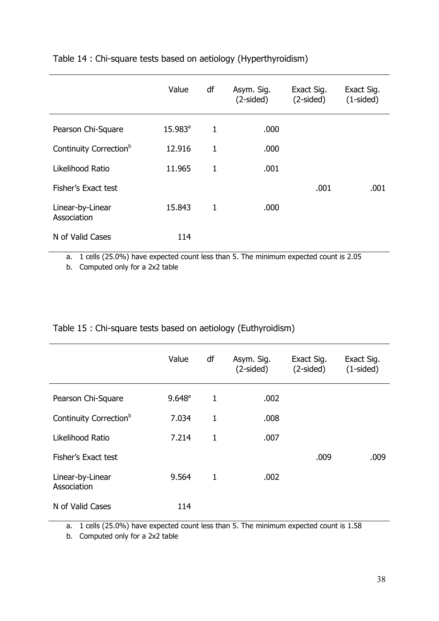|                                    | Value            | df           | Asym. Sig.<br>$(2-sided)$ | Exact Sig.<br>$(2-sided)$ | Exact Sig.<br>$(1-sided)$ |
|------------------------------------|------------------|--------------|---------------------------|---------------------------|---------------------------|
| Pearson Chi-Square                 | $15.983^{\circ}$ | $\mathbf{1}$ | .000                      |                           |                           |
| Continuity Correction <sup>b</sup> | 12.916           | $\mathbf{1}$ | .000                      |                           |                           |
| Likelihood Ratio                   | 11.965           | $\mathbf{1}$ | .001                      |                           |                           |
| Fisher's Exact test                |                  |              |                           | .001                      | .001                      |
| Linear-by-Linear<br>Association    | 15.843           | $\mathbf{1}$ | .000                      |                           |                           |
| N of Valid Cases                   | 114              |              |                           |                           |                           |

#### Table 14 : Chi-square tests based on aetiology (Hyperthyroidism)

a. 1 cells (25.0%) have expected count less than 5. The minimum expected count is 2.05

b. Computed only for a 2x2 table

| Table 15 : Chi-square tests based on aetiology (Euthyroidism) |  |
|---------------------------------------------------------------|--|
|---------------------------------------------------------------|--|

|                                    | Value     | df           | Asym. Sig.<br>$(2-sided)$ | Exact Sig.<br>$(2-sided)$ | Exact Sig.<br>$(1-sided)$ |
|------------------------------------|-----------|--------------|---------------------------|---------------------------|---------------------------|
| Pearson Chi-Square                 | $9.648^a$ | 1            | .002                      |                           |                           |
| Continuity Correction <sup>b</sup> | 7.034     | $\mathbf{1}$ | .008                      |                           |                           |
| Likelihood Ratio                   | 7.214     | 1            | .007                      |                           |                           |
| Fisher's Exact test                |           |              |                           | .009                      | .009                      |
| Linear-by-Linear<br>Association    | 9.564     | 1            | .002                      |                           |                           |
| N of Valid Cases                   | 114       |              |                           |                           |                           |

a. 1 cells (25.0%) have expected count less than 5. The minimum expected count is 1.58

b. Computed only for a 2x2 table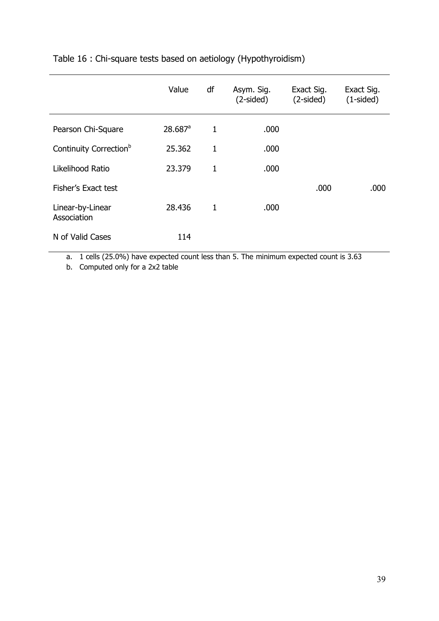|                                    | Value                 | df           | Asym. Sig.<br>$(2-sided)$ | Exact Sig.<br>$(2-sided)$ | Exact Sig.<br>$(1-sided)$ |
|------------------------------------|-----------------------|--------------|---------------------------|---------------------------|---------------------------|
| Pearson Chi-Square                 | $28.687$ <sup>a</sup> | $\mathbf{1}$ | .000                      |                           |                           |
| Continuity Correction <sup>b</sup> | 25.362                | $\mathbf{1}$ | .000                      |                           |                           |
| Likelihood Ratio                   | 23.379                | $\mathbf{1}$ | .000                      |                           |                           |
| Fisher's Exact test                |                       |              |                           | .000                      | .000                      |
| Linear-by-Linear<br>Association    | 28.436                | 1            | .000                      |                           |                           |
| N of Valid Cases                   | 114                   |              |                           |                           |                           |

#### Table 16 : Chi-square tests based on aetiology (Hypothyroidism)

a. 1 cells (25.0%) have expected count less than 5. The minimum expected count is 3.63

b. Computed only for a 2x2 table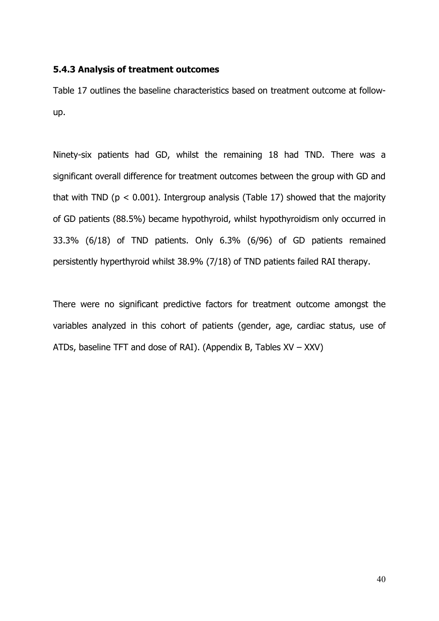#### **5.4.3 Analysis of treatment outcomes**

Table 17 outlines the baseline characteristics based on treatment outcome at follow up.

Ninety-six patients had GD, whilst the remaining 18 had TND. There was a significant overall difference for treatment outcomes between the group with GD and that with TND ( $p < 0.001$ ). Intergroup analysis (Table 17) showed that the majority of GD patients (88.5%) became hypothyroid, whilst hypothyroidism only occurred in 33.3% (6/18) of TND patients. Only 6.3% (6/96) of GD patients remained persistently hyperthyroid whilst 38.9% (7/18) of TND patients failed RAI therapy.

There were no significant predictive factors for treatment outcome amongst the variables analyzed in this cohort of patients (gender, age, cardiac status, use of ATDs, baseline TFT and dose of RAI). (Appendix B, Tables XV – XXV)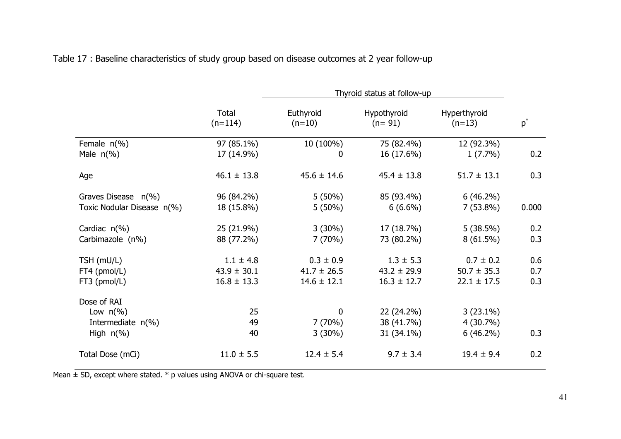|                            | Thyroid status at follow-up |                       |                         |                          |                |
|----------------------------|-----------------------------|-----------------------|-------------------------|--------------------------|----------------|
|                            | Total<br>$(n=114)$          | Euthyroid<br>$(n=10)$ | Hypothyroid<br>$(n=91)$ | Hyperthyroid<br>$(n=13)$ | $\mathsf{p}^*$ |
| Female $n(\%)$             | 97 (85.1%)                  | 10 (100%)             | 75 (82.4%)              | 12 (92.3%)               |                |
| Male $n(\%)$               | 17 (14.9%)                  | 0                     | 16 (17.6%)              | $1(7.7\%)$               | 0.2            |
| Age                        | $46.1 \pm 13.8$             | $45.6 \pm 14.6$       | $45.4 \pm 13.8$         | $51.7 \pm 13.1$          | 0.3            |
| Graves Disease n(%)        | 96 (84.2%)                  | $5(50\%)$             | 85 (93.4%)              | $6(46.2\%)$              |                |
| Toxic Nodular Disease n(%) | 18 (15.8%)                  | $5(50\%)$             | $6(6.6\%)$              | $7(53.8\%)$              | 0.000          |
| Cardiac $n(\%)$            | 25 (21.9%)                  | $3(30\%)$             | 17(18.7%)               | 5(38.5%)                 | 0.2            |
| Carbimazole (n%)           | 88 (77.2%)                  | 7(70%)                | 73 (80.2%)              | $8(61.5\%)$              | 0.3            |
| TSH (mU/L)                 | $1.1 \pm 4.8$               | $0.3 \pm 0.9$         | $1.3 \pm 5.3$           | $0.7 \pm 0.2$            | 0.6            |
| FT4 (pmol/L)               | $43.9 \pm 30.1$             | $41.7 \pm 26.5$       | $43.2 \pm 29.9$         | $50.7 \pm 35.3$          | 0.7            |
| $FT3$ (pmol/L)             | $16.8 \pm 13.3$             | $14.6 \pm 12.1$       | $16.3 \pm 12.7$         | $22.1 \pm 17.5$          | 0.3            |
| Dose of RAI                |                             |                       |                         |                          |                |
| Low $n\frac{6}{6}$         | 25                          | 0                     | 22 (24.2%)              | $3(23.1\%)$              |                |
| Intermediate $n(\%)$       | 49                          | 7(70%)                | 38 (41.7%)              | $4(30.7\%)$              |                |
| High $n(\%)$               | 40                          | $3(30\%)$             | 31 (34.1%)              | $6(46.2\%)$              | 0.3            |
| Total Dose (mCi)           | $11.0 \pm 5.5$              | $12.4 \pm 5.4$        | $9.7 \pm 3.4$           | $19.4 \pm 9.4$           | 0.2            |

Table 17 : Baseline characteristics of study group based on disease outcomes at 2 year follow-up

Mean  $\pm$  SD, except where stated.  $*$  p values using ANOVA or chi-square test.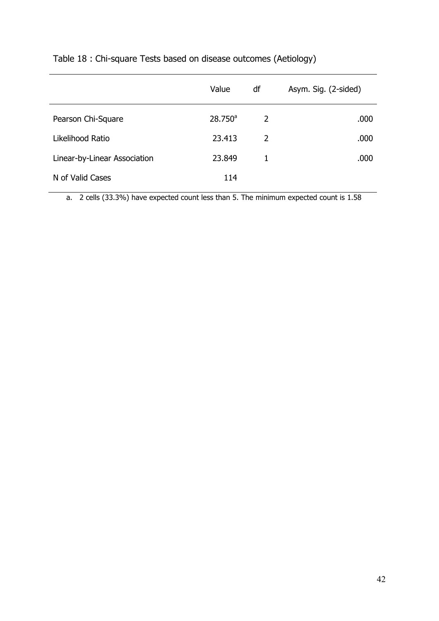|                              | Value            | df | Asym. Sig. (2-sided) |
|------------------------------|------------------|----|----------------------|
| Pearson Chi-Square           | $28.750^{\circ}$ | 2  | .000                 |
| Likelihood Ratio             | 23.413           | 2  | .000                 |
| Linear-by-Linear Association | 23,849           | 1  | .000                 |
| N of Valid Cases             | 114              |    |                      |

## Table 18 : Chi-square Tests based on disease outcomes (Aetiology)

a. 2 cells (33.3%) have expected count less than 5. The minimum expected count is 1.58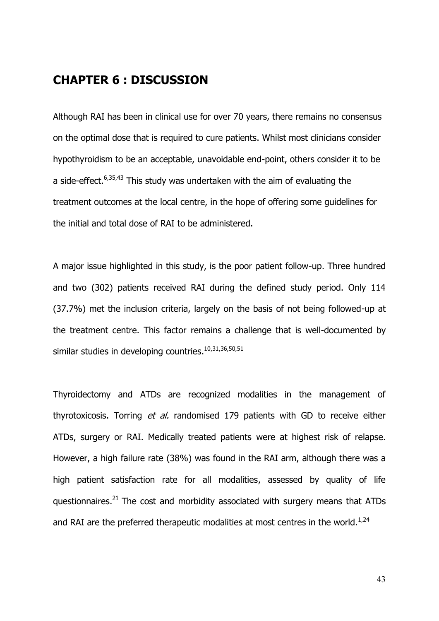### **CHAPTER 6 : DISCUSSION**

Although RAI has been in clinical use for over 70 years, there remains no consensus on the optimal dose that is required to cure patients. Whilst most clinicians consider hypothyroidism to be an acceptable, unavoidable end-point, others consider it to be a side-effect. $6,35,43$  This study was undertaken with the aim of evaluating the treatment outcomes at the local centre, in the hope of offering some guidelines for the initial and total dose of RAI to be administered.

A major issue highlighted in this study, is the poor patient follow-up. Three hundred and two (302) patients received RAI during the defined study period. Only 114 (37.7%) met the inclusion criteria, largely on the basis of not being followed-up at the treatment centre. This factor remains a challenge that is well-documented by similar studies in developing countries.<sup>10,31,36,50,51</sup>

Thyroidectomy and ATDs are recognized modalities in the management of thyrotoxicosis. Torring *et al.* randomised 179 patients with GD to receive either ATDs, surgery or RAI. Medically treated patients were at highest risk of relapse. However, a high failure rate (38%) was found in the RAI arm, although there was a high patient satisfaction rate for all modalities, assessed by quality of life questionnaires. $^{21}$  The cost and morbidity associated with surgery means that ATDs and RAI are the preferred therapeutic modalities at most centres in the world.<sup>1,24</sup>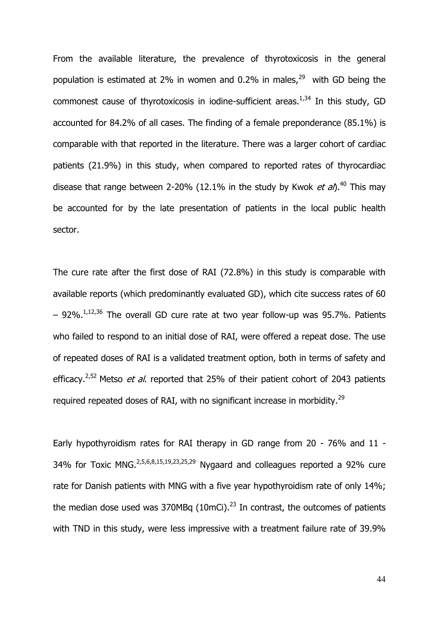From the available literature, the prevalence of thyrotoxicosis in the general population is estimated at 2% in women and 0.2% in males, $^{29}$  with GD being the commonest cause of thyrotoxicosis in iodine-sufficient areas.<sup>1,34</sup> In this study, GD accounted for 84.2% of all cases. The finding of a female preponderance (85.1%) is comparable with that reported in the literature. There was a larger cohort of cardiac patients (21.9%) in this study, when compared to reported rates of thyrocardiac disease that range between 2-20% (12.1% in the study by Kwok *et al*).<sup>40</sup> This may be accounted for by the late presentation of patients in the local public health sector.

The cure rate after the first dose of RAI (72.8%) in this study is comparable with available reports (which predominantly evaluated GD), which cite success rates of 60  $-$  92%.<sup>1,12,36</sup> The overall GD cure rate at two year follow-up was 95.7%. Patients who failed to respond to an initial dose of RAI, were offered a repeat dose. The use of repeated doses of RAI is a validated treatment option, both in terms of safety and efficacy.2,52 Metso *et al*. reported that 25% of their patient cohort of 2043 patients required repeated doses of RAI, with no significant increase in morbidity.<sup>29</sup>

Early hypothyroidism rates for RAI therapy in GD range from 20 - 76% and 11 - 34% for Toxic MNG.2,5,6,8,15,19,23,25,29 Nygaard and colleagues reported a 92% cure rate for Danish patients with MNG with a five year hypothyroidism rate of only 14%; the median dose used was  $370MBq$  (10mCi).<sup>23</sup> In contrast, the outcomes of patients with TND in this study, were less impressive with a treatment failure rate of 39.9%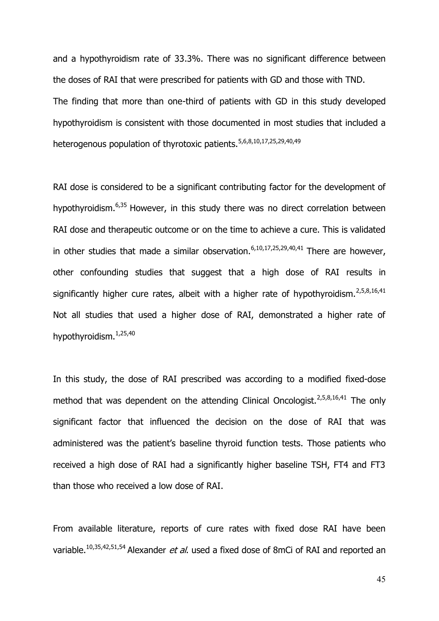and a hypothyroidism rate of 33.3%. There was no significant difference between the doses of RAI that were prescribed for patients with GD and those with TND. The finding that more than one-third of patients with GD in this study developed hypothyroidism is consistent with those documented in most studies that included a heterogenous population of thyrotoxic patients.<sup>5,6,8,10,17,25,29,40,49</sup>

RAI dose is considered to be a significant contributing factor for the development of hypothyroidism.6,35 However, in this study there was no direct correlation between RAI dose and therapeutic outcome or on the time to achieve a cure. This is validated in other studies that made a similar observation.  $6,10,17,25,29,40,41$  There are however, other confounding studies that suggest that a high dose of RAI results in significantly higher cure rates, albeit with a higher rate of hypothyroidism.<sup>2,5,8,16,41</sup> Not all studies that used a higher dose of RAI, demonstrated a higher rate of hypothyroidism.1,25,40

In this study, the dose of RAI prescribed was according to a modified fixed-dose method that was dependent on the attending Clinical Oncologist.<sup>2,5,8,16,41</sup> The only significant factor that influenced the decision on the dose of RAI that was administered was the patient's baseline thyroid function tests. Those patients who received a high dose of RAI had a significantly higher baseline TSH, FT4 and FT3 than those who received a low dose of RAI.

From available literature, reports of cure rates with fixed dose RAI have been variable.10,35,42,51,54 Alexander *et al*. used a fixed dose of 8mCi of RAI and reported an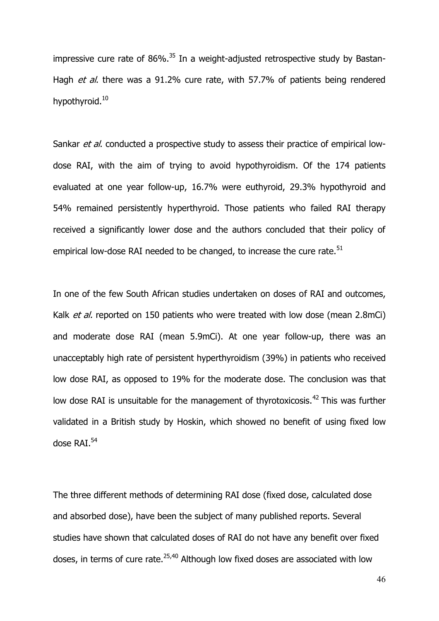impressive cure rate of  $86\%$ .<sup>35</sup> In a weight-adjusted retrospective study by Bastan-Hagh *et al*. there was a 91.2% cure rate, with 57.7% of patients being rendered hypothyroid.<sup>10</sup>

Sankar *et al*. conducted a prospective study to assess their practice of empirical low dose RAI, with the aim of trying to avoid hypothyroidism. Of the 174 patients evaluated at one year follow-up, 16.7% were euthyroid, 29.3% hypothyroid and 54% remained persistently hyperthyroid. Those patients who failed RAI therapy received a significantly lower dose and the authors concluded that their policy of empirical low-dose RAI needed to be changed, to increase the cure rate.<sup>51</sup>

In one of the few South African studies undertaken on doses of RAI and outcomes, Kalk *et al.* reported on 150 patients who were treated with low dose (mean 2.8mCi) and moderate dose RAI (mean 5.9mCi). At one year follow-up, there was an unacceptably high rate of persistent hyperthyroidism (39%) in patients who received low dose RAI, as opposed to 19% for the moderate dose. The conclusion was that low dose RAI is unsuitable for the management of thyrotoxicosis.<sup>42</sup> This was further validated in a British study by Hoskin, which showed no benefit of using fixed low dose RAI.<sup>54</sup>

The three different methods of determining RAI dose (fixed dose, calculated dose and absorbed dose), have been the subject of many published reports. Several studies have shown that calculated doses of RAI do not have any benefit over fixed doses, in terms of cure rate. $25,40$  Although low fixed doses are associated with low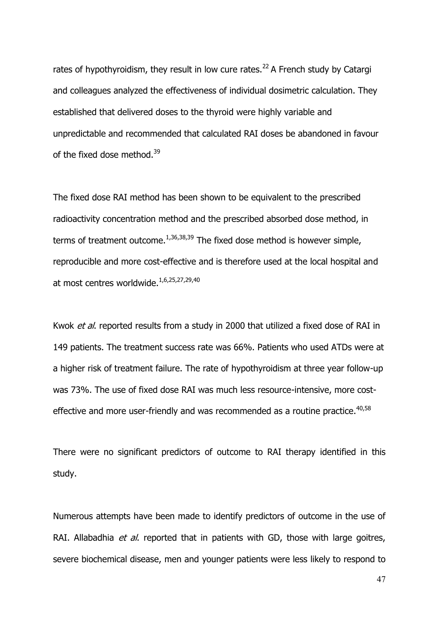rates of hypothyroidism, they result in low cure rates.<sup>22</sup> A French study by Catargi and colleagues analyzed the effectiveness of individual dosimetric calculation. They established that delivered doses to the thyroid were highly variable and unpredictable and recommended that calculated RAI doses be abandoned in favour of the fixed dose method.<sup>39</sup>

The fixed dose RAI method has been shown to be equivalent to the prescribed radioactivity concentration method and the prescribed absorbed dose method, in terms of treatment outcome.<sup>1,36,38,39</sup> The fixed dose method is however simple, reproducible and more cost-effective and is therefore used at the local hospital and at most centres worldwide.<sup>1,6,25,27,29,40</sup>

Kwok *et al*. reported results from a study in 2000 that utilized a fixed dose of RAI in 149 patients. The treatment success rate was 66%. Patients who used ATDs were at a higher risk of treatment failure. The rate of hypothyroidism at three year follow-up was 73%. The use of fixed dose RAI was much less resource-intensive, more cost effective and more user-friendly and was recommended as a routine practice.  $40,58$ 

There were no significant predictors of outcome to RAI therapy identified in this study.

Numerous attempts have been made to identify predictors of outcome in the use of RAI. Allabadhia *et al*. reported that in patients with GD, those with large goitres, severe biochemical disease, men and younger patients were less likely to respond to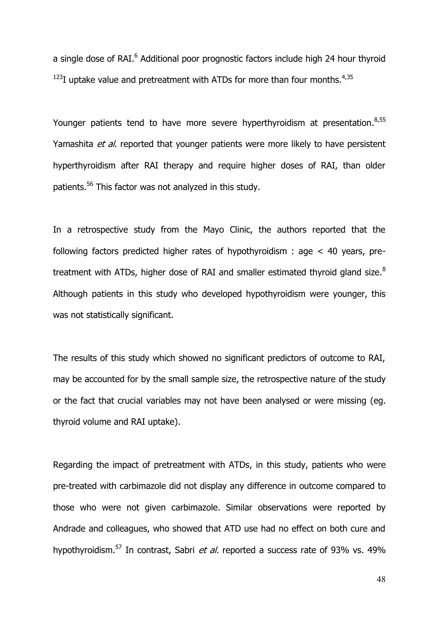a single dose of RAI.<sup>6</sup> Additional poor prognostic factors include high 24 hour thyroid  $123$ I uptake value and pretreatment with ATDs for more than four months.<sup>4,35</sup>

Younger patients tend to have more severe hyperthyroidism at presentation.<sup>8,55</sup> Yamashita *et al*. reported that younger patients were more likely to have persistent hyperthyroidism after RAI therapy and require higher doses of RAI, than older patients.<sup>56</sup> This factor was not analyzed in this study.

In a retrospective study from the Mayo Clinic, the authors reported that the following factors predicted higher rates of hypothyroidism : age < 40 years, pretreatment with ATDs, higher dose of RAI and smaller estimated thyroid gland size. $8$ Although patients in this study who developed hypothyroidism were younger, this was not statistically significant.

The results of this study which showed no significant predictors of outcome to RAI, may be accounted for by the small sample size, the retrospective nature of the study or the fact that crucial variables may not have been analysed or were missing (eg. thyroid volume and RAI uptake).

Regarding the impact of pretreatment with ATDs, in this study, patients who were pre-treated with carbimazole did not display any difference in outcome compared to those who were not given carbimazole. Similar observations were reported by Andrade and colleagues, who showed that ATD use had no effect on both cure and hypothyroidism.<sup>57</sup> In contrast, Sabri *et al.* reported a success rate of 93% vs. 49%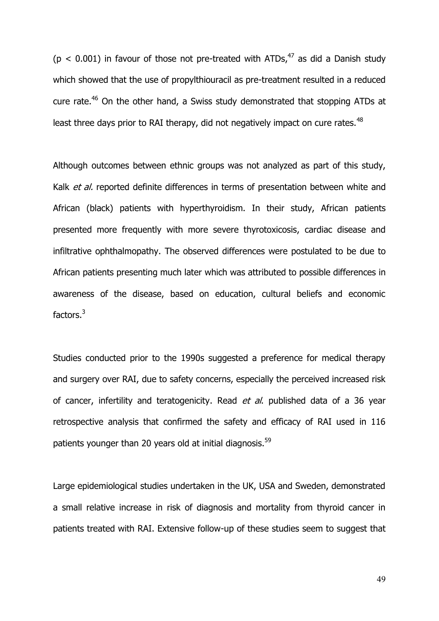( $p < 0.001$ ) in favour of those not pre-treated with ATDs,  $47$  as did a Danish study which showed that the use of propylthiouracil as pre-treatment resulted in a reduced cure rate.<sup>46</sup> On the other hand, a Swiss study demonstrated that stopping ATDs at least three days prior to RAI therapy, did not negatively impact on cure rates.<sup>48</sup>

Although outcomes between ethnic groups was not analyzed as part of this study, Kalk *et al.* reported definite differences in terms of presentation between white and African (black) patients with hyperthyroidism. In their study, African patients presented more frequently with more severe thyrotoxicosis, cardiac disease and infiltrative ophthalmopathy. The observed differences were postulated to be due to African patients presenting much later which was attributed to possible differences in awareness of the disease, based on education, cultural beliefs and economic factors.<sup>3</sup>

Studies conducted prior to the 1990s suggested a preference for medical therapy and surgery over RAI, due to safety concerns, especially the perceived increased risk of cancer, infertility and teratogenicity. Read *et al*. published data of a 36 year retrospective analysis that confirmed the safety and efficacy of RAI used in 116 patients younger than 20 years old at initial diagnosis. $59$ 

Large epidemiological studies undertaken in the UK, USA and Sweden, demonstrated a small relative increase in risk of diagnosis and mortality from thyroid cancer in patients treated with RAI. Extensive follow-up of these studies seem to suggest that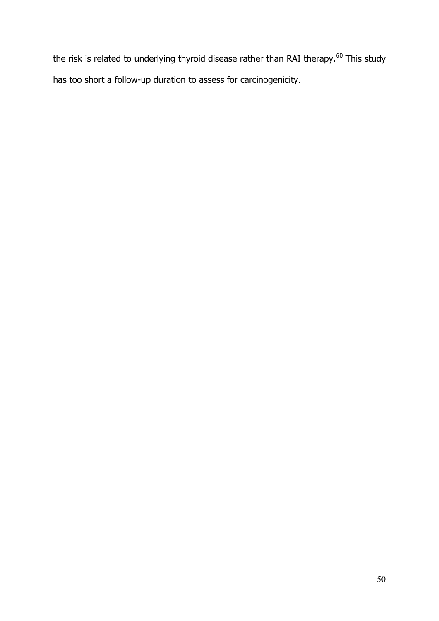the risk is related to underlying thyroid disease rather than RAI therapy.<sup>60</sup> This study has too short a follow-up duration to assess for carcinogenicity.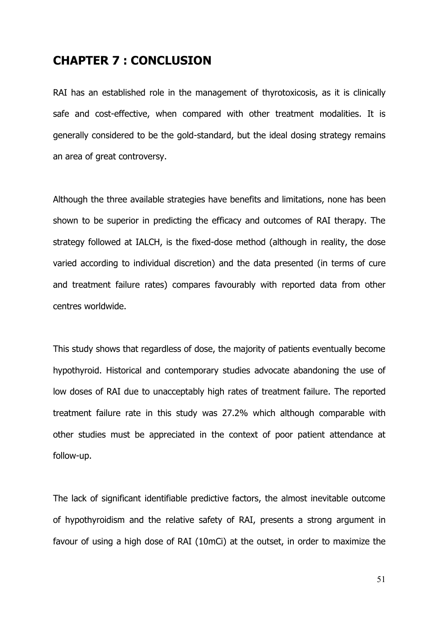#### **CHAPTER 7 : CONCLUSION**

RAI has an established role in the management of thyrotoxicosis, as it is clinically safe and cost-effective, when compared with other treatment modalities. It is generally considered to be the gold-standard, but the ideal dosing strategy remains an area of great controversy.

Although the three available strategies have benefits and limitations, none has been shown to be superior in predicting the efficacy and outcomes of RAI therapy. The strategy followed at IALCH, is the fixed-dose method (although in reality, the dose varied according to individual discretion) and the data presented (in terms of cure and treatment failure rates) compares favourably with reported data from other centres worldwide.

This study shows that regardless of dose, the majority of patients eventually become hypothyroid. Historical and contemporary studies advocate abandoning the use of low doses of RAI due to unacceptably high rates of treatment failure. The reported treatment failure rate in this study was 27.2% which although comparable with other studies must be appreciated in the context of poor patient attendance at follow-up.

The lack of significant identifiable predictive factors, the almost inevitable outcome of hypothyroidism and the relative safety of RAI, presents a strong argument in favour of using a high dose of RAI (10mCi) at the outset, in order to maximize the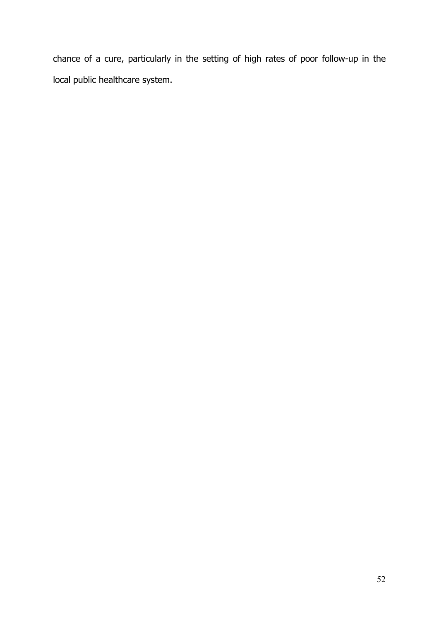chance of a cure, particularly in the setting of high rates of poor follow-up in the local public healthcare system.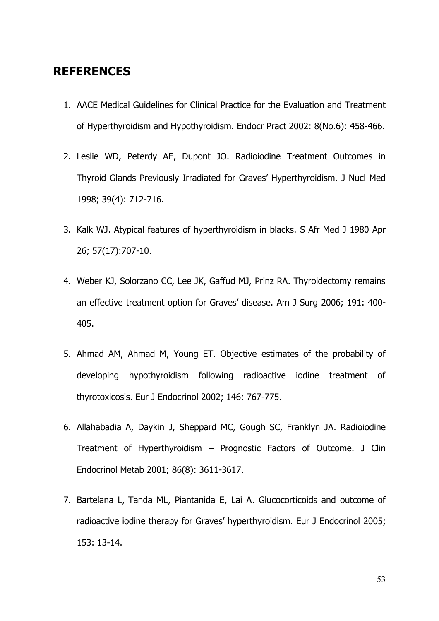## **REFERENCES**

- 1. AACE Medical Guidelines for Clinical Practice for the Evaluation and Treatment of Hyperthyroidism and Hypothyroidism. Endocr Pract 2002: 8(No.6): 458-466.
- 2. Leslie WD, Peterdy AE, Dupont JO. Radioiodine Treatment Outcomes in Thyroid Glands Previously Irradiated for Graves' Hyperthyroidism. J Nucl Med 1998; 39(4): 712-716.
- 3. Kalk WJ. Atypical features of hyperthyroidism in blacks. S Afr Med J 1980 Apr 26; 57(17):707-10.
- 4. Weber KJ, Solorzano CC, Lee JK, Gaffud MJ, Prinz RA. Thyroidectomy remains an effective treatment option for Graves' disease. Am J Surg 2006; 191: 400- 405.
- 5. Ahmad AM, Ahmad M, Young ET. Objective estimates of the probability of developing hypothyroidism following radioactive iodine treatment of thyrotoxicosis. Eur J Endocrinol 2002; 146: 767-775.
- 6. Allahabadia A, Daykin J, Sheppard MC, Gough SC, Franklyn JA. Radioiodine Treatment of Hyperthyroidism – Prognostic Factors of Outcome. J Clin Endocrinol Metab 2001; 86(8): 3611-3617.
- 7. Bartelana L, Tanda ML, Piantanida E, Lai A. Glucocorticoids and outcome of radioactive iodine therapy for Graves' hyperthyroidism. Eur J Endocrinol 2005; 153: 13-14.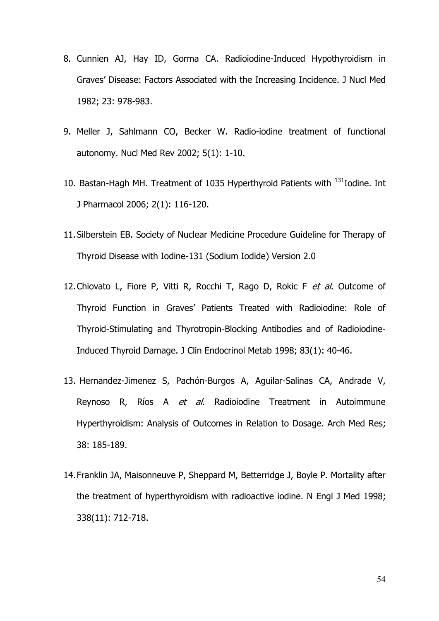- 8. Cunnien AJ, Hay ID, Gorma CA. Radioiodine-Induced Hypothyroidism in Graves' Disease: Factors Associated with the Increasing Incidence. J Nucl Med 1982; 23: 978-983.
- 9. Meller J, Sahlmann CO, Becker W. Radio-iodine treatment of functional autonomy. Nucl Med Rev 2002; 5(1): 1-10.
- 10. Bastan-Hagh MH. Treatment of 1035 Hyperthyroid Patients with  $^{131}$ Iodine. Int J Pharmacol 2006; 2(1): 116-120.
- 11.Silberstein EB. Society of Nuclear Medicine Procedure Guideline for Therapy of Thyroid Disease with Iodine-131 (Sodium Iodide) Version 2.0
- 12.Chiovato L, Fiore P, Vitti R, Rocchi T, Rago D, Rokic F *et al*. Outcome of Thyroid Function in Graves' Patients Treated with Radioiodine: Role of Thyroid-Stimulating and Thyrotropin-Blocking Antibodies and of Radioiodine-Induced Thyroid Damage. J Clin Endocrinol Metab 1998; 83(1): 40-46.
- 13. Hernandez-Jimenez S, Pachón-Burgos A, Aguilar-Salinas CA, Andrade V, Reynoso R, Ríos A *et al*. Radioiodine Treatment in Autoimmune Hyperthyroidism: Analysis of Outcomes in Relation to Dosage. Arch Med Res; 38: 185-189.
- 14.Franklin JA, Maisonneuve P, Sheppard M, Betterridge J, Boyle P. Mortality after the treatment of hyperthyroidism with radioactive iodine. N Engl J Med 1998; 338(11): 712-718.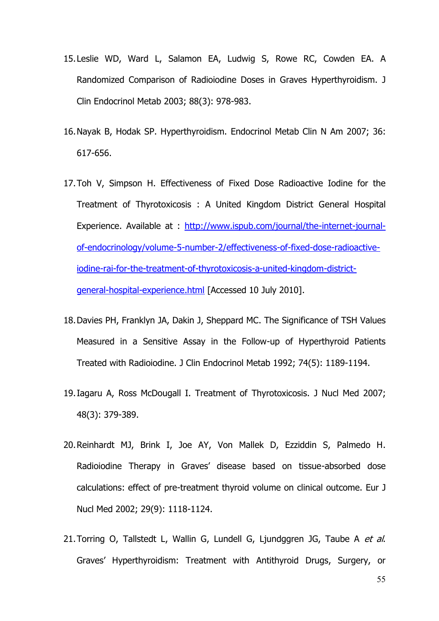- 15.Leslie WD, Ward L, Salamon EA, Ludwig S, Rowe RC, Cowden EA. A Randomized Comparison of Radioiodine Doses in Graves Hyperthyroidism. J Clin Endocrinol Metab 2003; 88(3): 978-983.
- 16.Nayak B, Hodak SP. Hyperthyroidism. Endocrinol Metab Clin N Am 2007; 36: 617-656.
- 17.Toh V, Simpson H. Effectiveness of Fixed Dose Radioactive Iodine for the Treatment of Thyrotoxicosis : A United Kingdom District General Hospital Experience. Available at : http://www.ispub.com/journal/the-internet-journal of-endocrinology/volume-5-number-2/effectiveness-of-fixed-dose-radioactiveiodine-rai-for-the-treatment-of-thyrotoxicosis-a-united-kingdom-district general-hospital-experience.html [Accessed 10 July 2010].
- 18.Davies PH, Franklyn JA, Dakin J, Sheppard MC. The Significance of TSH Values Measured in a Sensitive Assay in the Follow-up of Hyperthyroid Patients Treated with Radioiodine. J Clin Endocrinol Metab 1992; 74(5): 1189-1194.
- 19.Iagaru A, Ross McDougall I. Treatment of Thyrotoxicosis. J Nucl Med 2007; 48(3): 379-389.
- 20.Reinhardt MJ, Brink I, Joe AY, Von Mallek D, Ezziddin S, Palmedo H. Radioiodine Therapy in Graves' disease based on tissue-absorbed dose calculations: effect of pre-treatment thyroid volume on clinical outcome. Eur J Nucl Med 2002; 29(9): 1118-1124.
- 21.Torring O, Tallstedt L, Wallin G, Lundell G, Ljundggren JG, Taube A *et al*. Graves' Hyperthyroidism: Treatment with Antithyroid Drugs, Surgery, or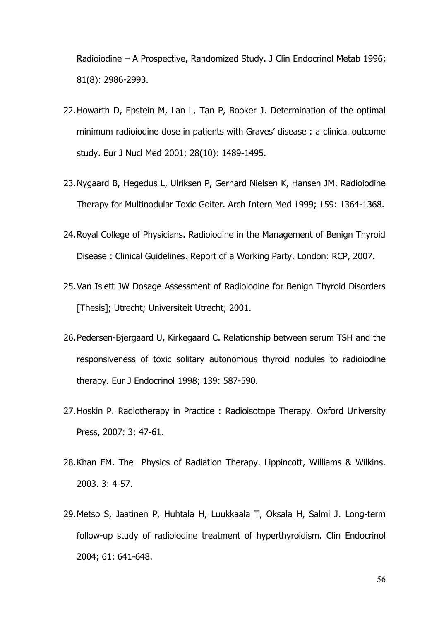Radioiodine – A Prospective, Randomized Study. J Clin Endocrinol Metab 1996; 81(8): 2986-2993.

- 22.Howarth D, Epstein M, Lan L, Tan P, Booker J. Determination of the optimal minimum radioiodine dose in patients with Graves' disease : a clinical outcome study. Eur J Nucl Med 2001; 28(10): 1489-1495.
- 23.Nygaard B, Hegedus L, Ulriksen P, Gerhard Nielsen K, Hansen JM. Radioiodine Therapy for Multinodular Toxic Goiter. Arch Intern Med 1999; 159: 1364-1368.
- 24.Royal College of Physicians. Radioiodine in the Management of Benign Thyroid Disease : Clinical Guidelines. Report of a Working Party. London: RCP, 2007.
- 25.Van Islett JW Dosage Assessment of Radioiodine for Benign Thyroid Disorders [Thesis]; Utrecht; Universiteit Utrecht; 2001.
- 26.Pedersen-Bjergaard U, Kirkegaard C. Relationship between serum TSH and the responsiveness of toxic solitary autonomous thyroid nodules to radioiodine therapy. Eur J Endocrinol 1998; 139: 587-590.
- 27.Hoskin P. Radiotherapy in Practice : Radioisotope Therapy. Oxford University Press, 2007: 3: 47-61.
- 28.Khan FM. The Physics of Radiation Therapy. Lippincott, Williams & Wilkins. 2003. 3: 4-57.
- 29.Metso S, Jaatinen P, Huhtala H, Luukkaala T, Oksala H, Salmi J. Long-term follow-up study of radioiodine treatment of hyperthyroidism. Clin Endocrinol 2004; 61: 641-648.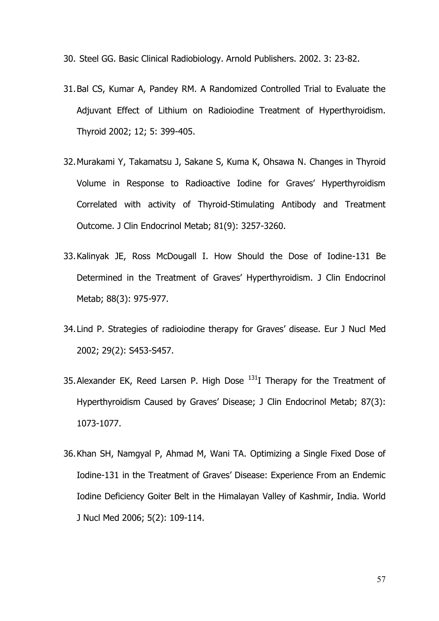30. Steel GG. Basic Clinical Radiobiology. Arnold Publishers. 2002. 3: 23-82.

- 31.Bal CS, Kumar A, Pandey RM. A Randomized Controlled Trial to Evaluate the Adjuvant Effect of Lithium on Radioiodine Treatment of Hyperthyroidism. Thyroid 2002; 12; 5: 399-405.
- 32.Murakami Y, Takamatsu J, Sakane S, Kuma K, Ohsawa N. Changes in Thyroid Volume in Response to Radioactive Iodine for Graves' Hyperthyroidism Correlated with activity of Thyroid-Stimulating Antibody and Treatment Outcome. J Clin Endocrinol Metab; 81(9): 3257-3260.
- 33.Kalinyak JE, Ross McDougall I. How Should the Dose of Iodine-131 Be Determined in the Treatment of Graves' Hyperthyroidism. J Clin Endocrinol Metab; 88(3): 975-977.
- 34.Lind P. Strategies of radioiodine therapy for Graves' disease. Eur J Nucl Med 2002; 29(2): S453-S457.
- 35. Alexander EK, Reed Larsen P. High Dose  $^{131}I$  Therapy for the Treatment of Hyperthyroidism Caused by Graves' Disease; J Clin Endocrinol Metab; 87(3): 1073-1077.
- 36.Khan SH, Namgyal P, Ahmad M, Wani TA. Optimizing a Single Fixed Dose of Iodine-131 in the Treatment of Graves' Disease: Experience From an Endemic Iodine Deficiency Goiter Belt in the Himalayan Valley of Kashmir, India. World J Nucl Med 2006; 5(2): 109-114.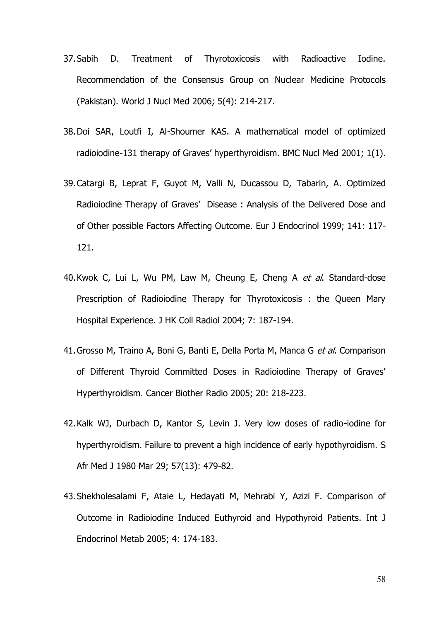- 37.Sabih D. Treatment of Thyrotoxicosis with Radioactive Iodine. Recommendation of the Consensus Group on Nuclear Medicine Protocols (Pakistan). World J Nucl Med 2006; 5(4): 214-217.
- 38.Doi SAR, Loutfi I, Al-Shoumer KAS. A mathematical model of optimized radioiodine-131 therapy of Graves' hyperthyroidism. BMC Nucl Med 2001; 1(1).
- 39.Catargi B, Leprat F, Guyot M, Valli N, Ducassou D, Tabarin, A. Optimized Radioiodine Therapy of Graves' Disease : Analysis of the Delivered Dose and of Other possible Factors Affecting Outcome. Eur J Endocrinol 1999; 141: 117- 121.
- 40.Kwok C, Lui L, Wu PM, Law M, Cheung E, Cheng A *et al*. Standard-dose Prescription of Radioiodine Therapy for Thyrotoxicosis : the Queen Mary Hospital Experience. J HK Coll Radiol 2004; 7: 187-194.
- 41.Grosso M, Traino A, Boni G, Banti E, Della Porta M, Manca G *et al*. Comparison of Different Thyroid Committed Doses in Radioiodine Therapy of Graves' Hyperthyroidism. Cancer Biother Radio 2005; 20: 218-223.
- 42.Kalk WJ, Durbach D, Kantor S, Levin J. Very low doses of radio-iodine for hyperthyroidism. Failure to prevent a high incidence of early hypothyroidism. S Afr Med J 1980 Mar 29; 57(13): 479-82.
- 43.Shekholesalami F, Ataie L, Hedayati M, Mehrabi Y, Azizi F. Comparison of Outcome in Radioiodine Induced Euthyroid and Hypothyroid Patients. Int J Endocrinol Metab 2005; 4: 174-183.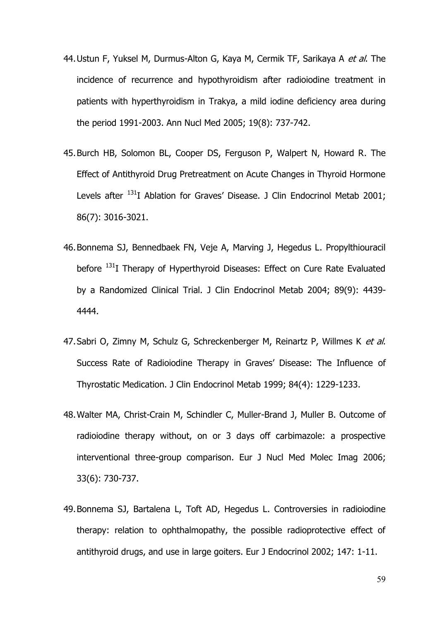- 44.Ustun F, Yuksel M, Durmus-Alton G, Kaya M, Cermik TF, Sarikaya A *et al*. The incidence of recurrence and hypothyroidism after radioiodine treatment in patients with hyperthyroidism in Trakya, a mild iodine deficiency area during the period 1991-2003. Ann Nucl Med 2005; 19(8): 737-742.
- 45.Burch HB, Solomon BL, Cooper DS, Ferguson P, Walpert N, Howard R. The Effect of Antithyroid Drug Pretreatment on Acute Changes in Thyroid Hormone Levels after <sup>131</sup>I Ablation for Graves' Disease. J Clin Endocrinol Metab 2001; 86(7): 3016-3021.
- 46.Bonnema SJ, Bennedbaek FN, Veje A, Marving J, Hegedus L. Propylthiouracil before <sup>131</sup>I Therapy of Hyperthyroid Diseases: Effect on Cure Rate Evaluated by a Randomized Clinical Trial. J Clin Endocrinol Metab 2004; 89(9): 4439- 4444.
- 47.Sabri O, Zimny M, Schulz G, Schreckenberger M, Reinartz P, Willmes K *et al*. Success Rate of Radioiodine Therapy in Graves' Disease: The Influence of Thyrostatic Medication. J Clin Endocrinol Metab 1999; 84(4): 1229-1233.
- 48.Walter MA, Christ-Crain M, Schindler C, Muller-Brand J, Muller B. Outcome of radioiodine therapy without, on or 3 days off carbimazole: a prospective interventional three-group comparison. Eur J Nucl Med Molec Imag 2006; 33(6): 730-737.
- 49.Bonnema SJ, Bartalena L, Toft AD, Hegedus L. Controversies in radioiodine therapy: relation to ophthalmopathy, the possible radioprotective effect of antithyroid drugs, and use in large goiters. Eur J Endocrinol 2002; 147: 1-11.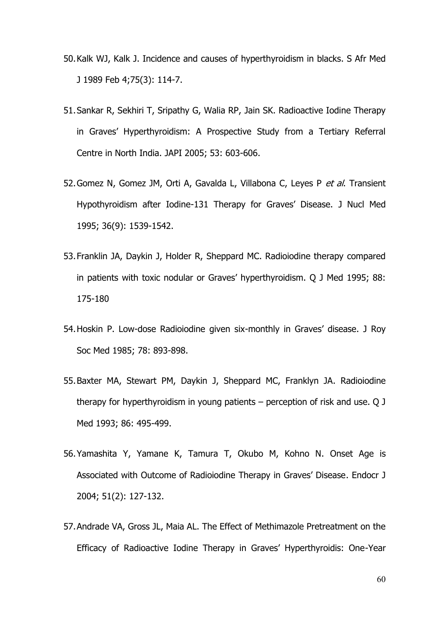- 50.Kalk WJ, Kalk J. Incidence and causes of hyperthyroidism in blacks. S Afr Med J 1989 Feb 4;75(3): 114-7.
- 51.Sankar R, Sekhiri T, Sripathy G, Walia RP, Jain SK. Radioactive Iodine Therapy in Graves' Hyperthyroidism: A Prospective Study from a Tertiary Referral Centre in North India. JAPI 2005; 53: 603-606.
- 52.Gomez N, Gomez JM, Orti A, Gavalda L, Villabona C, Leyes P *et al*. Transient Hypothyroidism after Iodine-131 Therapy for Graves' Disease. J Nucl Med 1995; 36(9): 1539-1542.
- 53.Franklin JA, Daykin J, Holder R, Sheppard MC. Radioiodine therapy compared in patients with toxic nodular or Graves' hyperthyroidism. Q J Med 1995; 88: 175-180
- 54.Hoskin P. Low-dose Radioiodine given six-monthly in Graves' disease. J Roy Soc Med 1985; 78: 893-898.
- 55.Baxter MA, Stewart PM, Daykin J, Sheppard MC, Franklyn JA. Radioiodine therapy for hyperthyroidism in young patients – perception of risk and use. Q J Med 1993; 86: 495-499.
- 56.Yamashita Y, Yamane K, Tamura T, Okubo M, Kohno N. Onset Age is Associated with Outcome of Radioiodine Therapy in Graves' Disease. Endocr J 2004; 51(2): 127-132.
- 57.Andrade VA, Gross JL, Maia AL. The Effect of Methimazole Pretreatment on the Efficacy of Radioactive Iodine Therapy in Graves' Hyperthyroidis: One-Year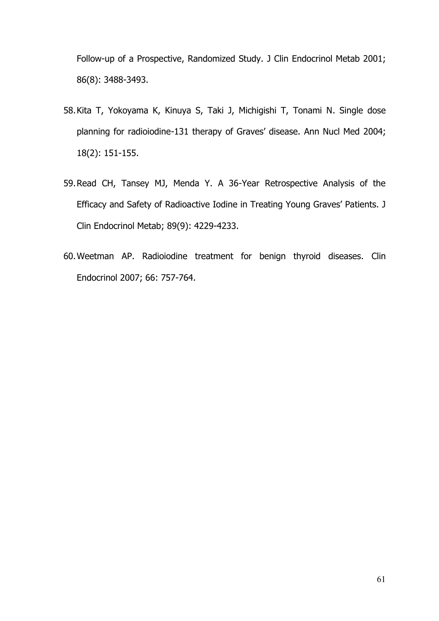Follow-up of a Prospective, Randomized Study. J Clin Endocrinol Metab 2001; 86(8): 3488-3493.

- 58.Kita T, Yokoyama K, Kinuya S, Taki J, Michigishi T, Tonami N. Single dose planning for radioiodine-131 therapy of Graves' disease. Ann Nucl Med 2004; 18(2): 151-155.
- 59.Read CH, Tansey MJ, Menda Y. A 36-Year Retrospective Analysis of the Efficacy and Safety of Radioactive Iodine in Treating Young Graves' Patients. J Clin Endocrinol Metab; 89(9): 4229-4233.
- 60.Weetman AP. Radioiodine treatment for benign thyroid diseases. Clin Endocrinol 2007; 66: 757-764.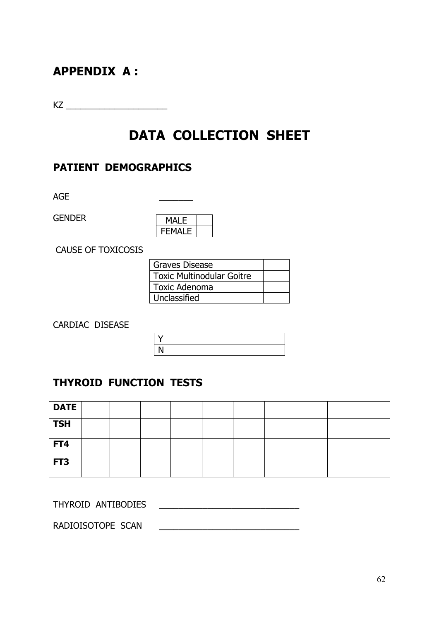# **APPENDIX A :**

KZ \_\_\_\_\_\_\_\_\_\_\_\_\_\_\_\_\_\_\_\_\_

# **DATA COLLECTION SHEET**

### **PATIENT DEMOGRAPHICS**

AGE

GENDER

| MAI F         |  |
|---------------|--|
|               |  |
| <b>FEMAIF</b> |  |

CAUSE OF TOXICOSIS

| l Graves Disease                 |  |
|----------------------------------|--|
| <b>Toxic Multinodular Goitre</b> |  |
| <b>Toxic Adenoma</b>             |  |
| Unclassified                     |  |

CARDIAC DISEASE

| $\checkmark$ |  |  |  |
|--------------|--|--|--|
| N            |  |  |  |
|              |  |  |  |

#### **THYROID FUNCTION TESTS**

| <b>DATE</b> |  |  |  |  |  |
|-------------|--|--|--|--|--|
| <b>TSH</b>  |  |  |  |  |  |
| FT4         |  |  |  |  |  |
| FT3         |  |  |  |  |  |

| THYROID ANTIBODIES |  |
|--------------------|--|
|--------------------|--|

RADIOISOTOPE SCAN \_\_\_\_\_\_\_\_\_\_\_\_\_\_\_\_\_\_\_\_\_\_\_\_\_\_\_\_\_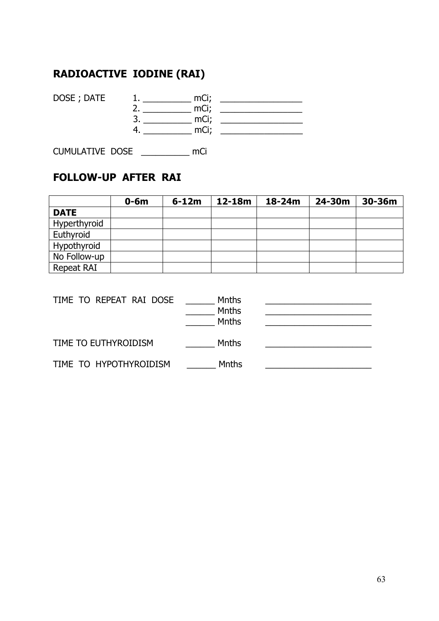# **RADIOACTIVE IODINE (RAI)**

DOSE ; DATE 1. \_\_\_\_\_\_\_\_\_\_ mCi; \_\_\_\_\_\_\_\_\_\_\_\_\_\_\_\_\_ 2. \_\_\_\_\_\_\_\_\_\_ mCi; \_\_\_\_\_\_\_\_\_\_\_\_\_\_\_\_\_ 3. \_\_\_\_\_\_\_\_\_\_ mCi; \_\_\_\_\_\_\_\_\_\_\_\_\_\_\_\_\_ 4. \_\_\_\_\_\_\_\_\_\_ mCi; \_\_\_\_\_\_\_\_\_\_\_\_\_\_\_\_\_

CUMULATIVE DOSE \_\_\_\_\_\_\_\_\_\_ mCi

### **FOLLOW-UP AFTER RAI**

|              | $0-6m$ | $6-12m$ | $12 - 18m$ | $18 - 24m$ | 24-30m | 30-36m |
|--------------|--------|---------|------------|------------|--------|--------|
| <b>DATE</b>  |        |         |            |            |        |        |
| Hyperthyroid |        |         |            |            |        |        |
| Euthyroid    |        |         |            |            |        |        |
| Hypothyroid  |        |         |            |            |        |        |
| No Follow-up |        |         |            |            |        |        |
| Repeat RAI   |        |         |            |            |        |        |

| TIME TO REPEAT RAI DOSE | Mnths<br><b>Mnths</b><br><b>Mnths</b> |  |
|-------------------------|---------------------------------------|--|
| TIME TO EUTHYROIDISM    | Mnths                                 |  |
| TIME TO HYPOTHYROIDISM  | <b>Mnths</b>                          |  |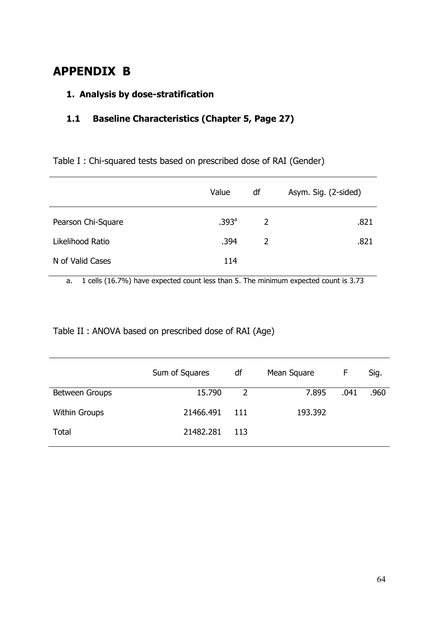# **APPENDIX B**

#### **1. Analysis by dose-stratification**

#### **1.1 Baseline Characteristics (Chapter 5, Page 27)**

Table I : Chi-squared tests based on prescribed dose of RAI (Gender)

|                    | Value             | df | Asym. Sig. (2-sided) |
|--------------------|-------------------|----|----------------------|
| Pearson Chi-Square | .393 <sup>a</sup> | 2  | .821                 |
| Likelihood Ratio   | .394              | 2  | .821                 |
| N of Valid Cases   | 114               |    |                      |
|                    |                   |    |                      |

a. 1 cells (16.7%) have expected count less than 5. The minimum expected count is 3.73

Table II : ANOVA based on prescribed dose of RAI (Age)

|                      | Sum of Squares | df   | Mean Square | F    | Sig. |
|----------------------|----------------|------|-------------|------|------|
| Between Groups       | 15.790         | 2    | 7.895       | .041 | .960 |
| <b>Within Groups</b> | 21466.491      | -111 | 193.392     |      |      |
| Total                | 21482.281      | -113 |             |      |      |
|                      |                |      |             |      |      |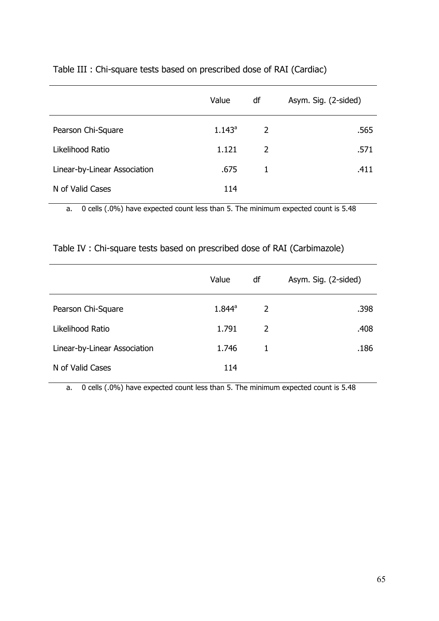|                              | Value     | df             | Asym. Sig. (2-sided) |
|------------------------------|-----------|----------------|----------------------|
| Pearson Chi-Square           | $1.143^a$ | $\overline{2}$ | .565                 |
| Likelihood Ratio             | 1.121     | 2              | .571                 |
| Linear-by-Linear Association | .675      | 1              | .411                 |
| N of Valid Cases             | 114       |                |                      |
|                              |           |                |                      |

Table III : Chi-square tests based on prescribed dose of RAI (Cardiac)

a. 0 cells (.0%) have expected count less than 5. The minimum expected count is 5.48

Table IV : Chi-square tests based on prescribed dose of RAI (Carbimazole)

| Value     | df | Asym. Sig. (2-sided) |
|-----------|----|----------------------|
| $1.844^a$ | 2  | .398                 |
| 1.791     | 2  | .408                 |
| 1.746     | 1  | .186                 |
| 114       |    |                      |
|           |    |                      |

a. 0 cells (.0%) have expected count less than 5. The minimum expected count is 5.48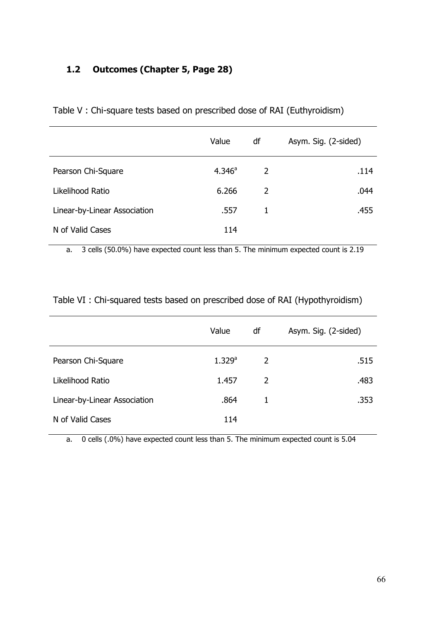### **1.2 Outcomes (Chapter 5, Page 28)**

|                              | Value              | df | Asym. Sig. (2-sided) |
|------------------------------|--------------------|----|----------------------|
| Pearson Chi-Square           | 4.346 <sup>a</sup> | 2  | .114                 |
| Likelihood Ratio             | 6.266              | 2  | .044                 |
| Linear-by-Linear Association | .557               | 1  | .455                 |
| N of Valid Cases             | 114                |    |                      |
|                              |                    |    |                      |

Table V : Chi-square tests based on prescribed dose of RAI (Euthyroidism)

a. 3 cells (50.0%) have expected count less than 5. The minimum expected count is 2.19

| Table VI: Chi-squared tests based on prescribed dose of RAI (Hypothyroidism) |  |  |
|------------------------------------------------------------------------------|--|--|
|------------------------------------------------------------------------------|--|--|

|                              | Value                | df | Asym. Sig. (2-sided) |
|------------------------------|----------------------|----|----------------------|
| Pearson Chi-Square           | $1.329$ <sup>a</sup> | 2  | .515                 |
| Likelihood Ratio             | 1.457                | 2  | .483                 |
| Linear-by-Linear Association | .864                 | 1  | .353                 |
| N of Valid Cases             | 114                  |    |                      |

a. 0 cells (.0%) have expected count less than 5. The minimum expected count is 5.04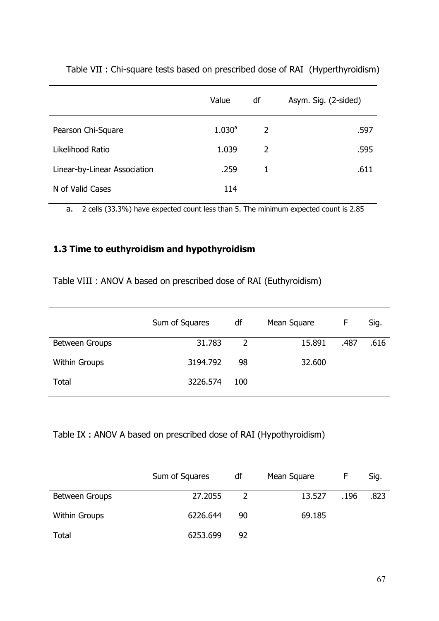|                              | Value     | df | Asym. Sig. (2-sided) |
|------------------------------|-----------|----|----------------------|
| Pearson Chi-Square           | $1.030^a$ | 2  | .597                 |
| Likelihood Ratio             | 1.039     | 2  | .595                 |
| Linear-by-Linear Association | .259      | 1  | .611                 |
| N of Valid Cases             | 114       |    |                      |

Table VII : Chi-square tests based on prescribed dose of RAI (Hyperthyroidism)

a. 2 cells (33.3%) have expected count less than 5. The minimum expected count is 2.85

### **1.3 Time to euthyroidism and hypothyroidism**

Table VIII : ANOV A based on prescribed dose of RAI (Euthyroidism)

|                      | Sum of Squares | df  | Mean Square | F    | Sig. |
|----------------------|----------------|-----|-------------|------|------|
| Between Groups       | 31.783         | 2   | 15.891      | .487 | .616 |
| <b>Within Groups</b> | 3194.792       | 98  | 32.600      |      |      |
| Total                | 3226.574       | 100 |             |      |      |
|                      |                |     |             |      |      |

#### Table IX : ANOV A based on prescribed dose of RAI (Hypothyroidism)

|                      | Sum of Squares | df | Mean Square | F    | Sig. |
|----------------------|----------------|----|-------------|------|------|
| Between Groups       | 27.2055        | 2  | 13.527      | .196 | .823 |
| <b>Within Groups</b> | 6226.644       | 90 | 69.185      |      |      |
| Total                | 6253.699       | 92 |             |      |      |
|                      |                |    |             |      |      |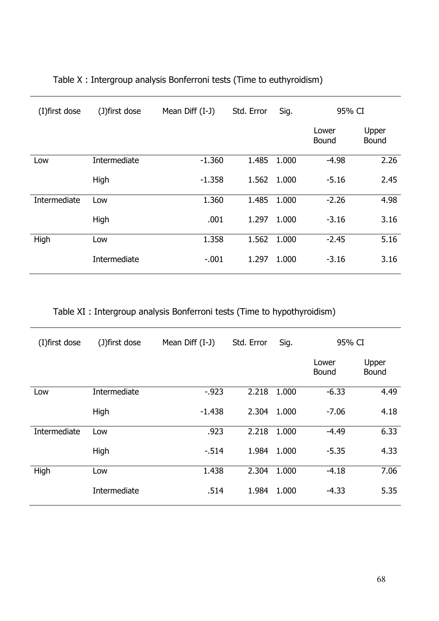| (I) first dose | (J)first dose | Mean Diff (I-J) | Std. Error | Sig.  | 95% CI                |                       |
|----------------|---------------|-----------------|------------|-------|-----------------------|-----------------------|
|                |               |                 |            |       | Lower<br><b>Bound</b> | Upper<br><b>Bound</b> |
| Low            | Intermediate  | $-1.360$        | 1.485      | 1.000 | $-4.98$               | 2.26                  |
|                | High          | $-1.358$        | 1.562      | 1.000 | $-5.16$               | 2.45                  |
| Intermediate   | Low           | 1.360           | 1.485      | 1.000 | $-2.26$               | 4.98                  |
|                | High          | .001            | 1.297      | 1.000 | $-3.16$               | 3.16                  |
| High           | Low           | 1.358           | 1.562      | 1.000 | $-2.45$               | 5.16                  |
|                | Intermediate  | $-.001$         | 1.297      | 1.000 | $-3.16$               | 3.16                  |

# Table X : Intergroup analysis Bonferroni tests (Time to euthyroidism)

## Table XI : Intergroup analysis Bonferroni tests (Time to hypothyroidism)

| (I) first dose | (J)first dose | Mean Diff $(I-J)$ | Std. Error | Sig.  | 95% CI                |                       |
|----------------|---------------|-------------------|------------|-------|-----------------------|-----------------------|
|                |               |                   |            |       | Lower<br><b>Bound</b> | Upper<br><b>Bound</b> |
| Low            | Intermediate  | $-923$            | 2.218      | 1.000 | $-6.33$               | 4.49                  |
|                | High          | $-1.438$          | 2.304      | 1.000 | $-7.06$               | 4.18                  |
| Intermediate   | Low           | .923              | 2.218      | 1.000 | $-4.49$               | 6.33                  |
|                | High          | $-514$            | 1.984      | 1.000 | $-5.35$               | 4.33                  |
| High           | Low           | 1.438             | 2.304      | 1.000 | $-4.18$               | 7.06                  |
|                | Intermediate  | .514              | 1.984      | 1.000 | $-4.33$               | 5.35                  |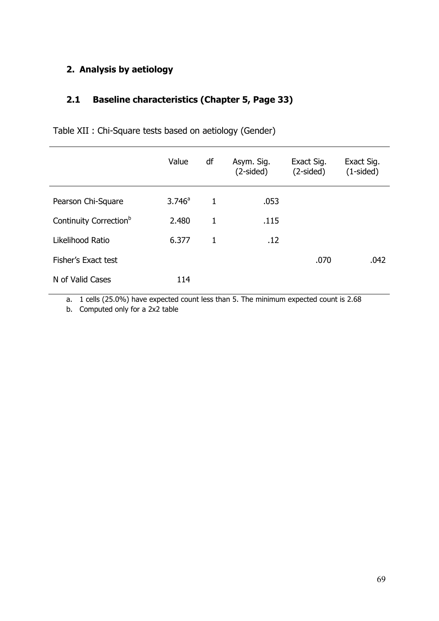## **2. Analysis by aetiology**

#### **2.1 Baseline characteristics (Chapter 5, Page 33)**

|                                    | Value     | df           | Asym. Sig.<br>$(2-sided)$ | Exact Sig.<br>$(2-sided)$ | Exact Sig.<br>$(1-sided)$ |
|------------------------------------|-----------|--------------|---------------------------|---------------------------|---------------------------|
| Pearson Chi-Square                 | $3.746^a$ | $\mathbf{1}$ | .053                      |                           |                           |
| Continuity Correction <sup>b</sup> | 2.480     | 1            | .115                      |                           |                           |
| Likelihood Ratio                   | 6.377     | 1            | .12                       |                           |                           |
| Fisher's Exact test                |           |              |                           | .070                      | .042                      |
| N of Valid Cases                   | 114       |              |                           |                           |                           |

Table XII : Chi-Square tests based on aetiology (Gender)

a. 1 cells (25.0%) have expected count less than 5. The minimum expected count is 2.68

b. Computed only for a 2x2 table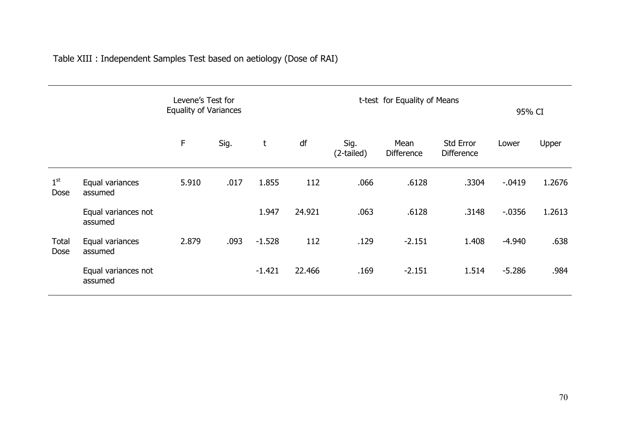Table XIII : Independent Samples Test based on aetiology (Dose of RAI)

|                      |                                | Levene's Test for<br><b>Equality of Variances</b> |      |          |        |                    | t-test for Equality of Means | 95% CI                         |           |        |
|----------------------|--------------------------------|---------------------------------------------------|------|----------|--------|--------------------|------------------------------|--------------------------------|-----------|--------|
|                      |                                | F                                                 | Sig. | t        | df     | Sig.<br>(2-tailed) | Mean<br><b>Difference</b>    | Std Error<br><b>Difference</b> | Lower     | Upper  |
| $1^{\rm st}$<br>Dose | Equal variances<br>assumed     | 5.910                                             | .017 | 1.855    | 112    | .066               | .6128                        | .3304                          | $-0.0419$ | 1.2676 |
|                      | Equal variances not<br>assumed |                                                   |      | 1.947    | 24.921 | .063               | .6128                        | .3148                          | $-0.0356$ | 1.2613 |
| Total<br>Dose        | Equal variances<br>assumed     | 2.879                                             | .093 | $-1.528$ | 112    | .129               | $-2.151$                     | 1.408                          | $-4.940$  | .638   |
|                      | Equal variances not<br>assumed |                                                   |      | $-1.421$ | 22.466 | .169               | $-2.151$                     | 1.514                          | $-5.286$  | .984   |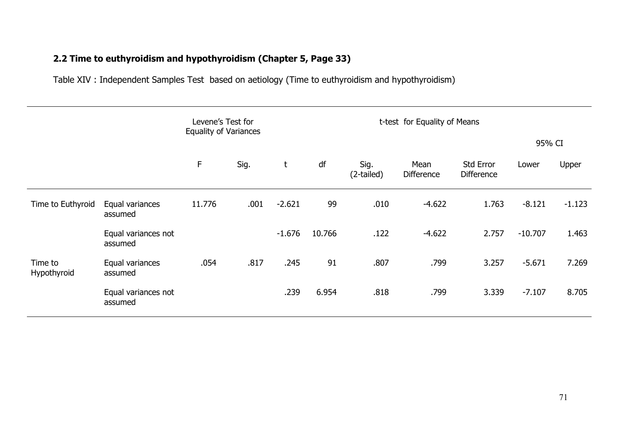## **2.2 Time to euthyroidism and hypothyroidism (Chapter 5, Page 33)**

Table XIV : Independent Samples Test based on aetiology (Time to euthyroidism and hypothyroidism)

|                        |                                | Levene's Test for<br>t-test for Equality of Means<br><b>Equality of Variances</b> |      |          |        |                    |                    |                                       |           |          |
|------------------------|--------------------------------|-----------------------------------------------------------------------------------|------|----------|--------|--------------------|--------------------|---------------------------------------|-----------|----------|
|                        |                                |                                                                                   |      |          |        |                    |                    |                                       | 95% CI    |          |
|                        |                                | F                                                                                 | Sig. | t        | df     | Sig.<br>(2-tailed) | Mean<br>Difference | <b>Std Error</b><br><b>Difference</b> | Lower     | Upper    |
| Time to Euthyroid      | Equal variances<br>assumed     | 11.776                                                                            | .001 | $-2.621$ | 99     | .010               | $-4.622$           | 1.763                                 | $-8.121$  | $-1.123$ |
|                        | Equal variances not<br>assumed |                                                                                   |      | $-1.676$ | 10.766 | .122               | $-4.622$           | 2.757                                 | $-10.707$ | 1.463    |
| Time to<br>Hypothyroid | Equal variances<br>assumed     | .054                                                                              | .817 | .245     | 91     | .807               | .799               | 3.257                                 | $-5.671$  | 7.269    |
|                        | Equal variances not<br>assumed |                                                                                   |      | .239     | 6.954  | .818               | .799               | 3.339                                 | $-7.107$  | 8.705    |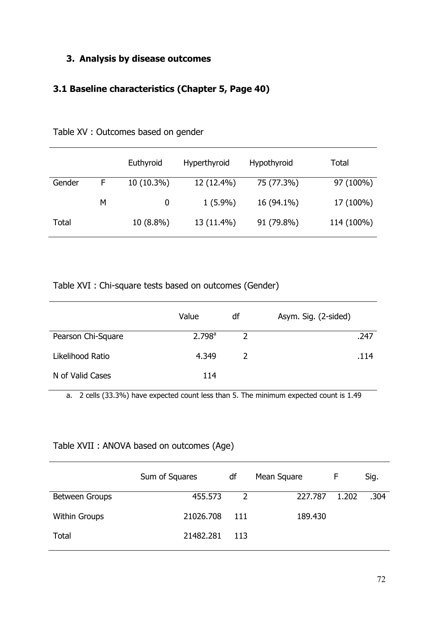#### **3. Analysis by disease outcomes**

## **3.1 Baseline characteristics (Chapter 5, Page 40)**

|        |   | Euthyroid    | Hyperthyroid | <b>Hypothyroid</b> | Total      |
|--------|---|--------------|--------------|--------------------|------------|
| Gender | F | $10(10.3\%)$ | 12 (12.4%)   | 75 (77.3%)         | 97 (100%)  |
|        | M | $\bf{0}$     | $1(5.9\%)$   | 16 (94.1%)         | 17 (100%)  |
| Total  |   | $10(8.8\%)$  | 13 (11.4%)   | 91 (79.8%)         | 114 (100%) |

Table XV : Outcomes based on gender

Table XVI : Chi-square tests based on outcomes (Gender)

|                    | Value              | df            | Asym. Sig. (2-sided) |
|--------------------|--------------------|---------------|----------------------|
| Pearson Chi-Square | 2.798 <sup>a</sup> | $\mathcal{P}$ | .247                 |
| Likelihood Ratio   | 4.349              |               | .114                 |
| N of Valid Cases   | 114                |               |                      |

a. 2 cells (33.3%) have expected count less than 5. The minimum expected count is 1.49

#### Table XVII : ANOVA based on outcomes (Age)

| Sum of Squares | df           | Mean Square | F     | Sig. |
|----------------|--------------|-------------|-------|------|
| 455.573        | <sup>2</sup> | 227.787     | 1.202 | .304 |
| 21026.708      | - 111        | 189.430     |       |      |
| 21482.281      | 113          |             |       |      |
|                |              |             |       |      |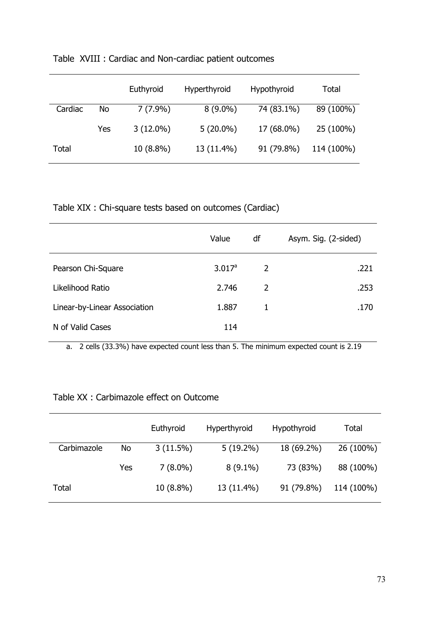|         |     | Euthyroid   | Hyperthyroid | Hypothyroid | Total      |
|---------|-----|-------------|--------------|-------------|------------|
| Cardiac | No  | $7(7.9\%)$  | $8(9.0\%)$   | 74 (83.1%)  | 89 (100%)  |
|         | Yes | $3(12.0\%)$ | $5(20.0\%)$  | 17 (68.0%)  | 25 (100%)  |
| Total   |     | $10(8.8\%)$ | 13 (11.4%)   | 91 (79.8%)  | 114 (100%) |

## Table XVIII : Cardiac and Non-cardiac patient outcomes

Table XIX : Chi-square tests based on outcomes (Cardiac)

|                              | Value     | df | Asym. Sig. (2-sided) |
|------------------------------|-----------|----|----------------------|
| Pearson Chi-Square           | $3.017^a$ | 2  | .221                 |
| Likelihood Ratio             | 2.746     | 2  | .253                 |
| Linear-by-Linear Association | 1.887     | 1  | .170                 |
| N of Valid Cases             | 114       |    |                      |

a. 2 cells (33.3%) have expected count less than 5. The minimum expected count is 2.19

#### Table XX : Carbimazole effect on Outcome

|             |     | Euthyroid   | Hyperthyroid | Hypothyroid | Total      |  |
|-------------|-----|-------------|--------------|-------------|------------|--|
| Carbimazole | No  | $3(11.5\%)$ | $5(19.2\%)$  | 18 (69.2%)  | 26 (100%)  |  |
|             | Yes | $7(8.0\%)$  | $8(9.1\%)$   | 73 (83%)    | 88 (100%)  |  |
| Total       |     | $10(8.8\%)$ | 13 (11.4%)   | 91 (79.8%)  | 114 (100%) |  |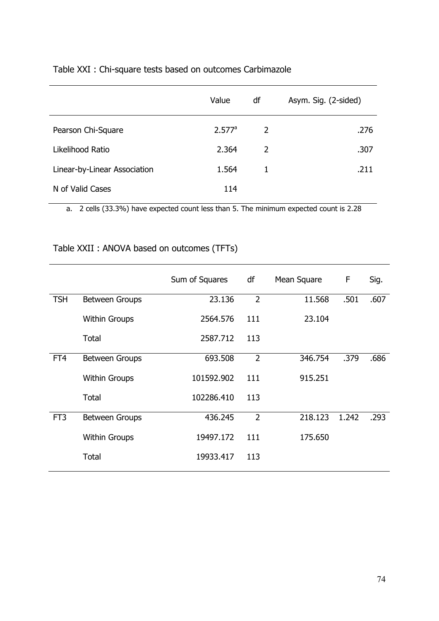|                              | Value              | df             | Asym. Sig. (2-sided) |
|------------------------------|--------------------|----------------|----------------------|
| Pearson Chi-Square           | 2.577 <sup>a</sup> | $\overline{2}$ | .276                 |
| Likelihood Ratio             | 2.364              | 2              | .307                 |
| Linear-by-Linear Association | 1.564              | 1              | .211                 |
| N of Valid Cases             | 114                |                |                      |
|                              |                    |                |                      |

### Table XXI : Chi-square tests based on outcomes Carbimazole

a. 2 cells (33.3%) have expected count less than 5. The minimum expected count is 2.28

## Table XXII : ANOVA based on outcomes (TFTs)

|                 |                       | Sum of Squares | df             | Mean Square | F     | Sig. |
|-----------------|-----------------------|----------------|----------------|-------------|-------|------|
| <b>TSH</b>      | <b>Between Groups</b> | 23.136         | $\overline{2}$ | 11.568      | .501  | .607 |
|                 | <b>Within Groups</b>  | 2564.576       | 111            | 23.104      |       |      |
|                 | Total                 | 2587.712       | 113            |             |       |      |
| FT4             | <b>Between Groups</b> | 693.508        | $\overline{2}$ | 346.754     | .379  | .686 |
|                 | <b>Within Groups</b>  | 101592.902     | 111            | 915.251     |       |      |
|                 | Total                 | 102286.410     | 113            |             |       |      |
| FT <sub>3</sub> | <b>Between Groups</b> | 436.245        | $\overline{2}$ | 218.123     | 1.242 | .293 |
|                 | <b>Within Groups</b>  | 19497.172      | 111            | 175.650     |       |      |
|                 | <b>Total</b>          | 19933.417      | 113            |             |       |      |
|                 |                       |                |                |             |       |      |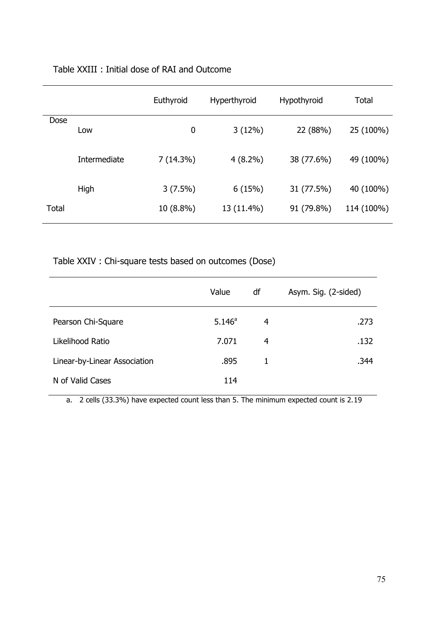#### Table XXIII : Initial dose of RAI and Outcome

|       |              | Euthyroid   | Hyperthyroid | Hypothyroid | Total      |
|-------|--------------|-------------|--------------|-------------|------------|
| Dose  | Low          | 0           | 3(12%)       | 22 (88%)    | 25 (100%)  |
|       | Intermediate | $7(14.3\%)$ | $4(8.2\%)$   | 38 (77.6%)  | 49 (100%)  |
|       | High         | $3(7.5\%)$  | 6(15%)       | 31 (77.5%)  | 40 (100%)  |
| Total |              | $10(8.8\%)$ | 13 (11.4%)   | 91 (79.8%)  | 114 (100%) |

Table XXIV : Chi-square tests based on outcomes (Dose)

|                              | Value           | df | Asym. Sig. (2-sided) |
|------------------------------|-----------------|----|----------------------|
| Pearson Chi-Square           | $5.146^{\circ}$ | 4  | .273                 |
| Likelihood Ratio             | 7.071           | 4  | .132                 |
| Linear-by-Linear Association | .895            | 1  | .344                 |
| N of Valid Cases             | 114             |    |                      |

a. 2 cells (33.3%) have expected count less than 5. The minimum expected count is 2.19